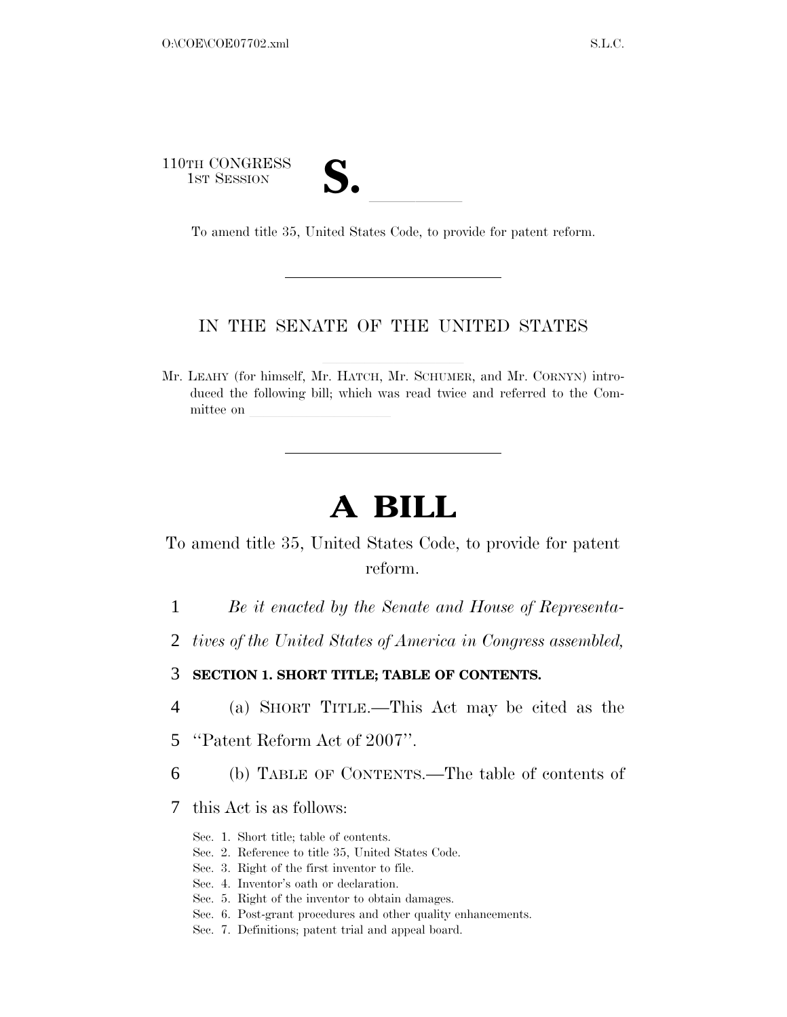110TH CONGRESS

1st Session **S. Containers Session** To amend title 35, United States Code, to provide for patent reform.

#### IN THE SENATE OF THE UNITED STATES

Mr. LEAHY (for himself, Mr. HATCH, Mr. SCHUMER, and Mr. CORNYN) introduced the following bill; which was read twice and referred to the Committee on

# **A BILL**

To amend title 35, United States Code, to provide for patent reform.

- 1 *Be it enacted by the Senate and House of Representa-*
- 2 *tives of the United States of America in Congress assembled,*

3 **SECTION 1. SHORT TITLE; TABLE OF CONTENTS.** 

- 4 (a) SHORT TITLE.—This Act may be cited as the
- 5 ''Patent Reform Act of 2007''.
- 6 (b) TABLE OF CONTENTS.—The table of contents of
- 7 this Act is as follows:
	- Sec. 1. Short title; table of contents.
	- Sec. 2. Reference to title 35, United States Code.
	- Sec. 3. Right of the first inventor to file.
	- Sec. 4. Inventor's oath or declaration.
	- Sec. 5. Right of the inventor to obtain damages.
	- Sec. 6. Post-grant procedures and other quality enhancements.
	- Sec. 7. Definitions; patent trial and appeal board.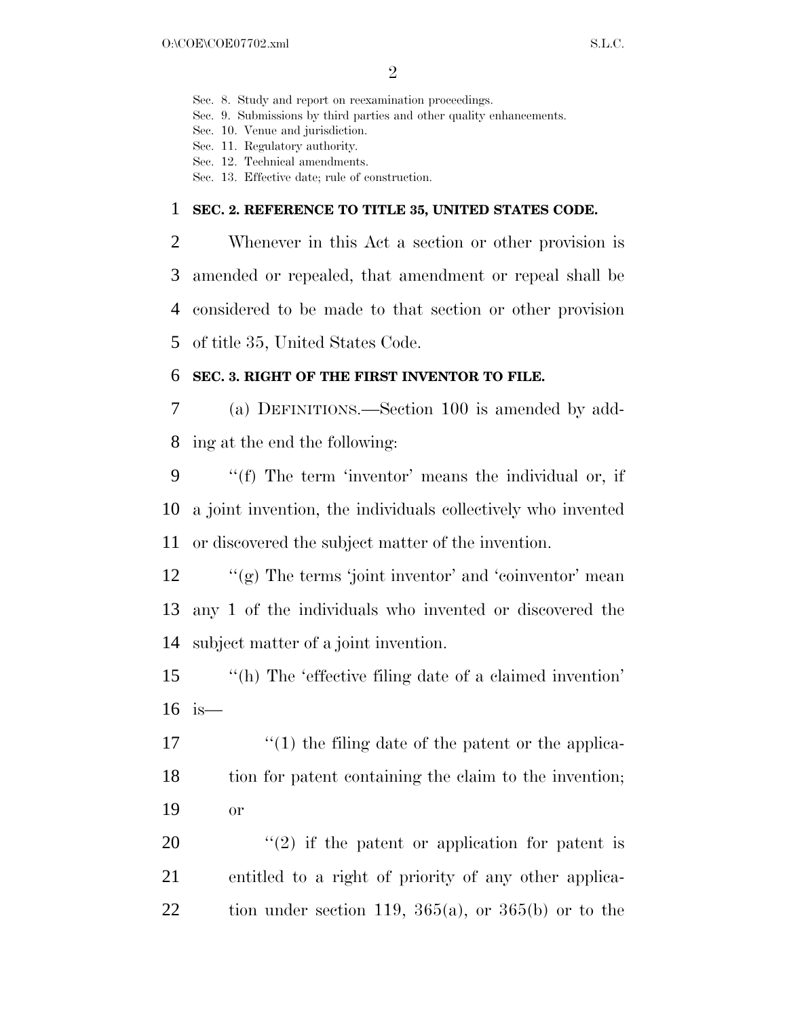Sec. 8. Study and report on reexamination proceedings.

- Sec. 9. Submissions by third parties and other quality enhancements.
- Sec. 10. Venue and jurisdiction.
- Sec. 11. Regulatory authority.
- Sec. 12. Technical amendments.
- Sec. 13. Effective date; rule of construction.

#### 1 **SEC. 2. REFERENCE TO TITLE 35, UNITED STATES CODE.**

 Whenever in this Act a section or other provision is amended or repealed, that amendment or repeal shall be considered to be made to that section or other provision of title 35, United States Code.

#### 6 **SEC. 3. RIGHT OF THE FIRST INVENTOR TO FILE.**

7 (a) DEFINITIONS.—Section 100 is amended by add-8 ing at the end the following:

9 ''(f) The term 'inventor' means the individual or, if 10 a joint invention, the individuals collectively who invented 11 or discovered the subject matter of the invention.

12 ''(g) The terms 'joint inventor' and 'coinventor' mean 13 any 1 of the individuals who invented or discovered the 14 subject matter of a joint invention.

15 "(h) The 'effective filing date of a claimed invention' 16 is—

17 ''(1) the filing date of the patent or the applica-18 tion for patent containing the claim to the invention; 19 or

20  $\frac{u(2)}{2}$  if the patent or application for patent is 21 entitled to a right of priority of any other applica-22 tion under section 119,  $365(a)$ , or  $365(b)$  or to the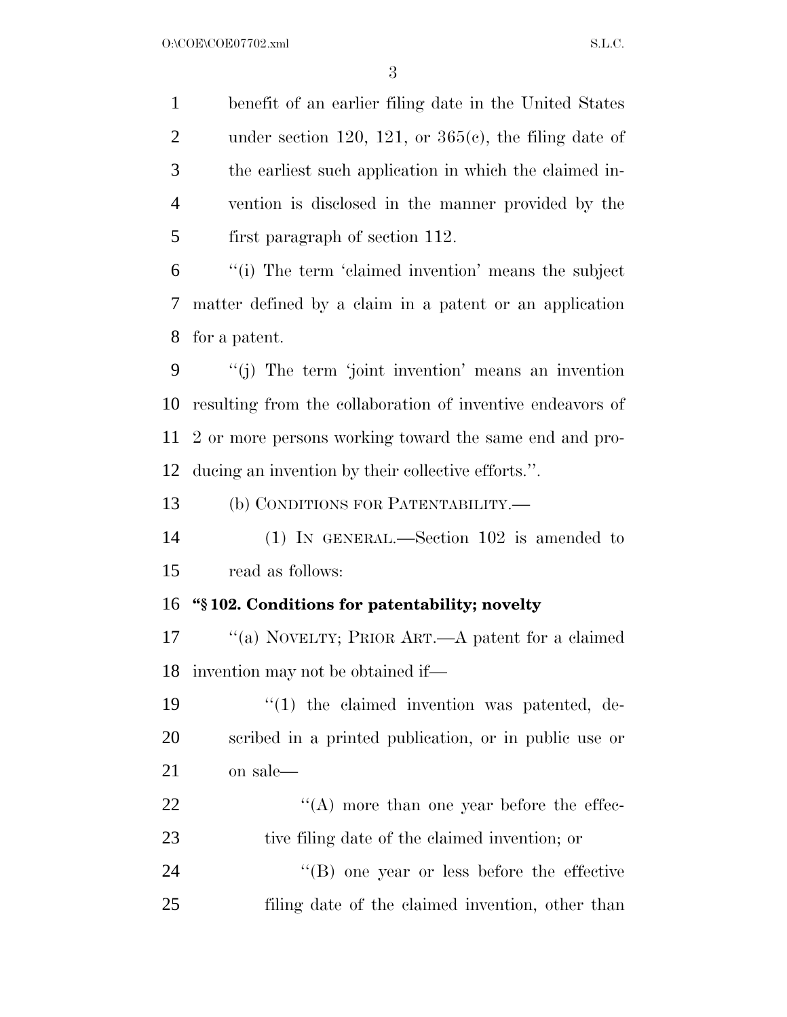benefit of an earlier filing date in the United States 2 under section 120, 121, or  $365(e)$ , the filing date of the earliest such application in which the claimed in- vention is disclosed in the manner provided by the first paragraph of section 112.

 ''(i) The term 'claimed invention' means the subject matter defined by a claim in a patent or an application for a patent.

 ''(j) The term 'joint invention' means an invention resulting from the collaboration of inventive endeavors of 2 or more persons working toward the same end and pro-ducing an invention by their collective efforts.''.

(b) CONDITIONS FOR PATENTABILITY.—

 (1) IN GENERAL.—Section 102 is amended to read as follows:

#### **''§ 102. Conditions for patentability; novelty**

 ''(a) NOVELTY; PRIOR ART.—A patent for a claimed invention may not be obtained if—

19  $\frac{1}{2}$  (1) the claimed invention was patented, de- scribed in a printed publication, or in public use or on sale—

22 ''(A) more than one year before the effec-tive filing date of the claimed invention; or

24 ''(B) one year or less before the effective filing date of the claimed invention, other than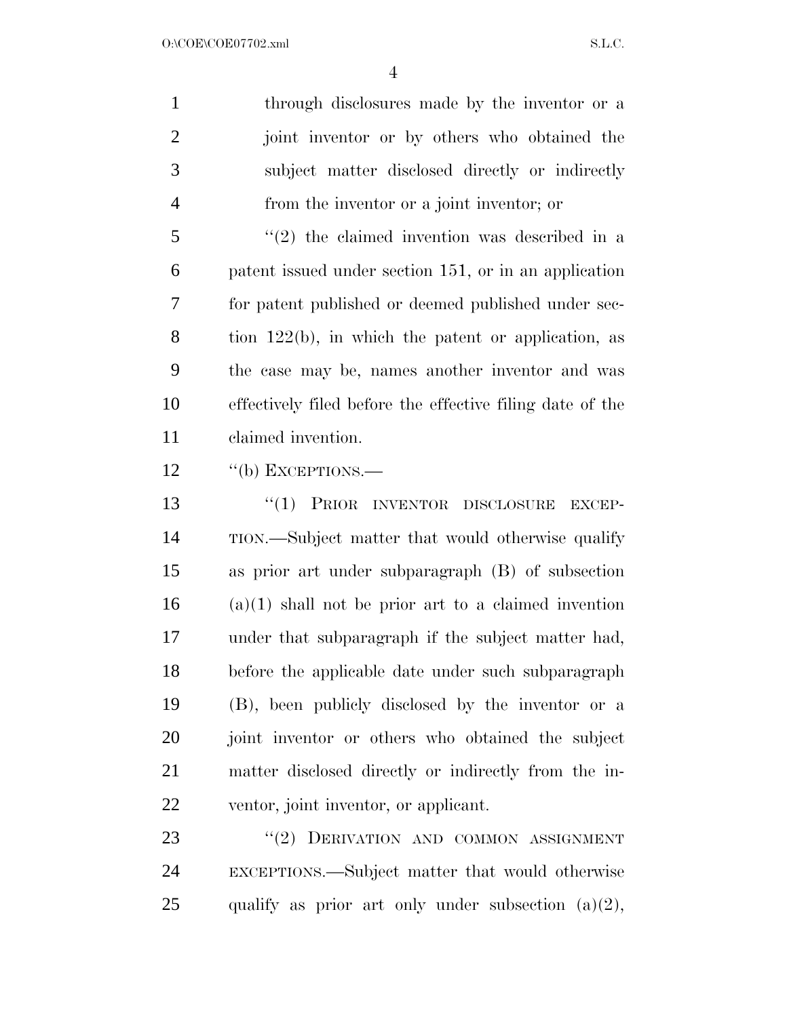through disclosures made by the inventor or a joint inventor or by others who obtained the subject matter disclosed directly or indirectly from the inventor or a joint inventor; or

 ''(2) the claimed invention was described in a patent issued under section 151, or in an application for patent published or deemed published under sec- tion 122(b), in which the patent or application, as the case may be, names another inventor and was effectively filed before the effective filing date of the claimed invention.

12 "(b) EXCEPTIONS.—

 ''(1) PRIOR INVENTOR DISCLOSURE EXCEP- TION.—Subject matter that would otherwise qualify as prior art under subparagraph (B) of subsection (a)(1) shall not be prior art to a claimed invention under that subparagraph if the subject matter had, before the applicable date under such subparagraph (B), been publicly disclosed by the inventor or a joint inventor or others who obtained the subject matter disclosed directly or indirectly from the in-ventor, joint inventor, or applicant.

23 "(2) DERIVATION AND COMMON ASSIGNMENT EXCEPTIONS.—Subject matter that would otherwise 25 qualify as prior art only under subsection  $(a)(2)$ ,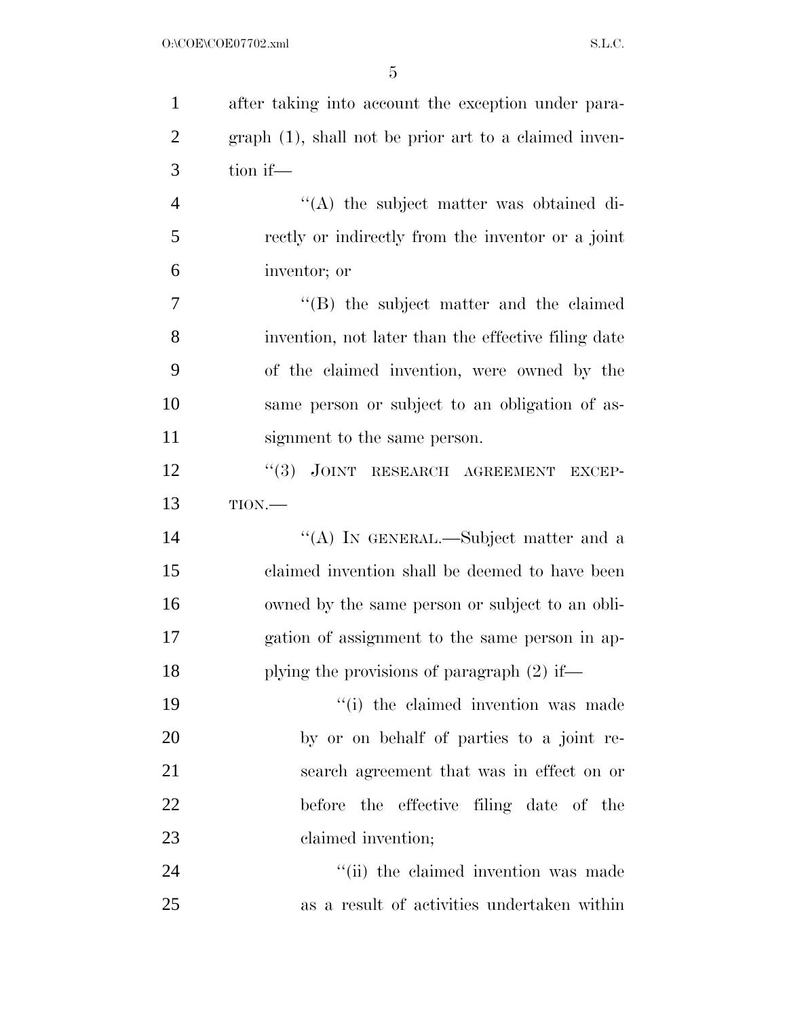| $\mathbf{1}$   | after taking into account the exception under para-   |
|----------------|-------------------------------------------------------|
| $\overline{2}$ | graph (1), shall not be prior art to a claimed inven- |
| 3              | tion if—                                              |
| $\overline{4}$ | "(A) the subject matter was obtained di-              |
| 5              | rectly or indirectly from the inventor or a joint     |
| 6              | inventor; or                                          |
| 7              | "(B) the subject matter and the claimed               |
| 8              | invention, not later than the effective filing date   |
| 9              | of the claimed invention, were owned by the           |
| 10             | same person or subject to an obligation of as-        |
| 11             | signment to the same person.                          |
| 12             | JOINT RESEARCH AGREEMENT<br>(3)<br><b>EXCEP-</b>      |
| 13             | TION.                                                 |
| 14             | "(A) IN GENERAL.—Subject matter and a                 |
| 15             | claimed invention shall be deemed to have been        |
| 16             | owned by the same person or subject to an obli-       |
| 17             | gation of assignment to the same person in ap-        |
| 18             | plying the provisions of paragraph $(2)$ if—          |
| 19             | "(i) the claimed invention was made                   |
| 20             | by or on behalf of parties to a joint re-             |
| 21             | search agreement that was in effect on or             |
| 22             | before the effective filing date of the               |
| 23             | claimed invention;                                    |
| 24             | "(ii) the claimed invention was made                  |
| 25             | as a result of activities undertaken within           |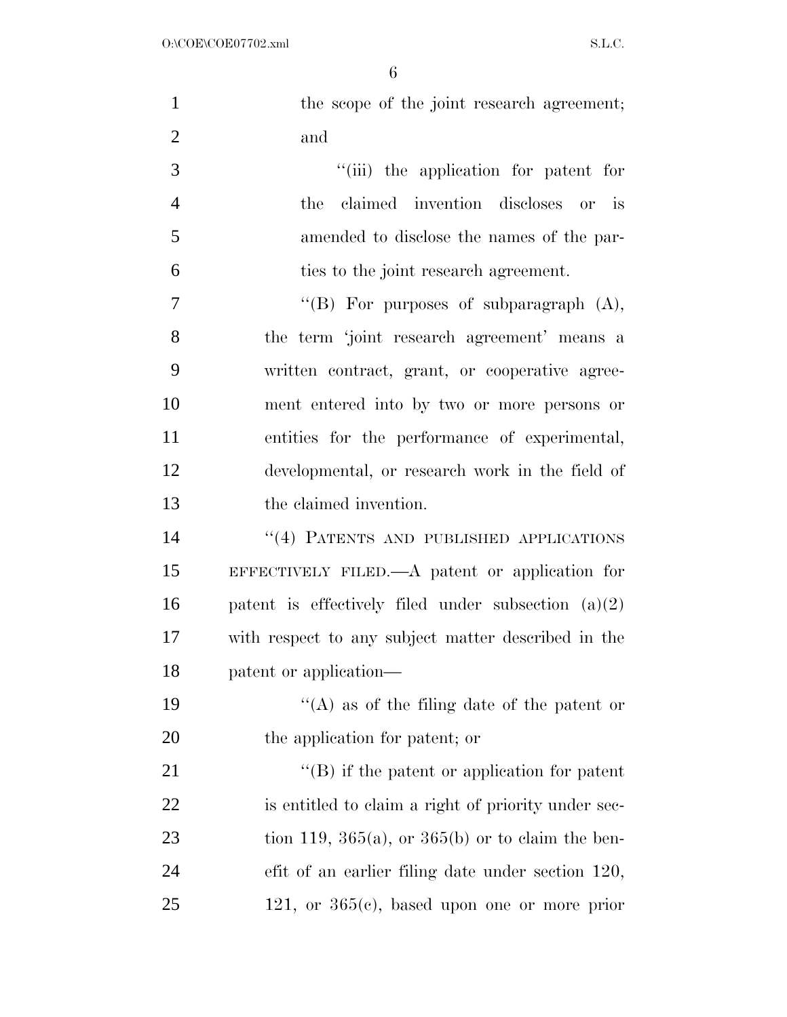| $\mathbf{1}$   | the scope of the joint research agreement;            |
|----------------|-------------------------------------------------------|
| $\overline{2}$ | and                                                   |
| 3              | "(iii) the application for patent for                 |
| $\overline{4}$ | claimed invention discloses or is<br>the              |
| 5              | amended to disclose the names of the par-             |
| 6              | ties to the joint research agreement.                 |
| 7              | "(B) For purposes of subparagraph $(A)$ ,             |
| 8              | the term 'joint research agreement' means a           |
| 9              | written contract, grant, or cooperative agree-        |
| 10             | ment entered into by two or more persons or           |
| 11             | entities for the performance of experimental,         |
| 12             | developmental, or research work in the field of       |
| 13             | the claimed invention.                                |
| 14             | "(4) PATENTS AND PUBLISHED APPLICATIONS               |
| 15             | EFFECTIVELY FILED.—A patent or application for        |
| 16             | patent is effectively filed under subsection $(a)(2)$ |
| 17             | with respect to any subject matter described in the   |
| 18             | patent or application—                                |
| 19             | "(A) as of the filing date of the patent or           |
| 20             | the application for patent; or                        |
| 21             | $\lq\lq$ ) if the patent or application for patent    |
| 22             | is entitled to claim a right of priority under sec-   |
| 23             | tion 119, 365(a), or 365(b) or to claim the ben-      |
| 24             | efit of an earlier filing date under section 120,     |
| 25             | 121, or $365(e)$ , based upon one or more prior       |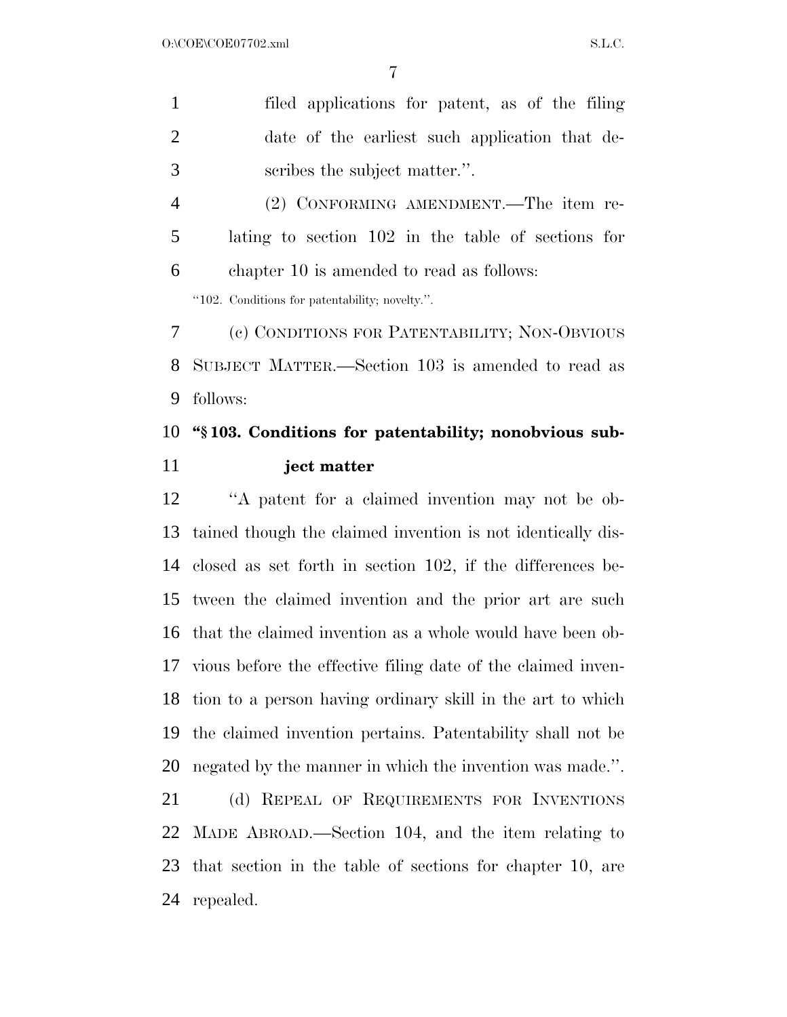| $\mathbf{1}$   | filed applications for patent, as of the filing                 |
|----------------|-----------------------------------------------------------------|
| $\overline{2}$ | date of the earliest such application that de-                  |
| 3              | scribes the subject matter.".                                   |
| $\overline{4}$ | (2) CONFORMING AMENDMENT.—The item re-                          |
| 5              | lating to section 102 in the table of sections for              |
| 6              | chapter 10 is amended to read as follows:                       |
|                | "102. Conditions for patentability; novelty.".                  |
| 7              | (c) CONDITIONS FOR PATENTABILITY; NON-OBVIOUS                   |
| 8              | SUBJECT MATTER.—Section 103 is amended to read as               |
| 9              | follows:                                                        |
| 10             | "\\$103. Conditions for patentability; nonobvious sub-          |
|                |                                                                 |
| 11             | ject matter                                                     |
|                | "A patent for a claimed invention may not be ob-                |
| 12<br>13       | tained though the claimed invention is not identically dis-     |
|                | 14 closed as set forth in section 102, if the differences be-   |
|                | tween the claimed invention and the prior art are such          |
|                | that the claimed invention as a whole would have been ob-       |
|                | 17 vious before the effective filing date of the claimed inven- |
| 15<br>16<br>18 | tion to a person having ordinary skill in the art to which      |
| 19             | the claimed invention pertains. Patentability shall not be      |
|                | negated by the manner in which the invention was made.".        |
| 20<br>21       | (d) REPEAL OF REQUIREMENTS FOR INVENTIONS                       |

 that section in the table of sections for chapter 10, are repealed.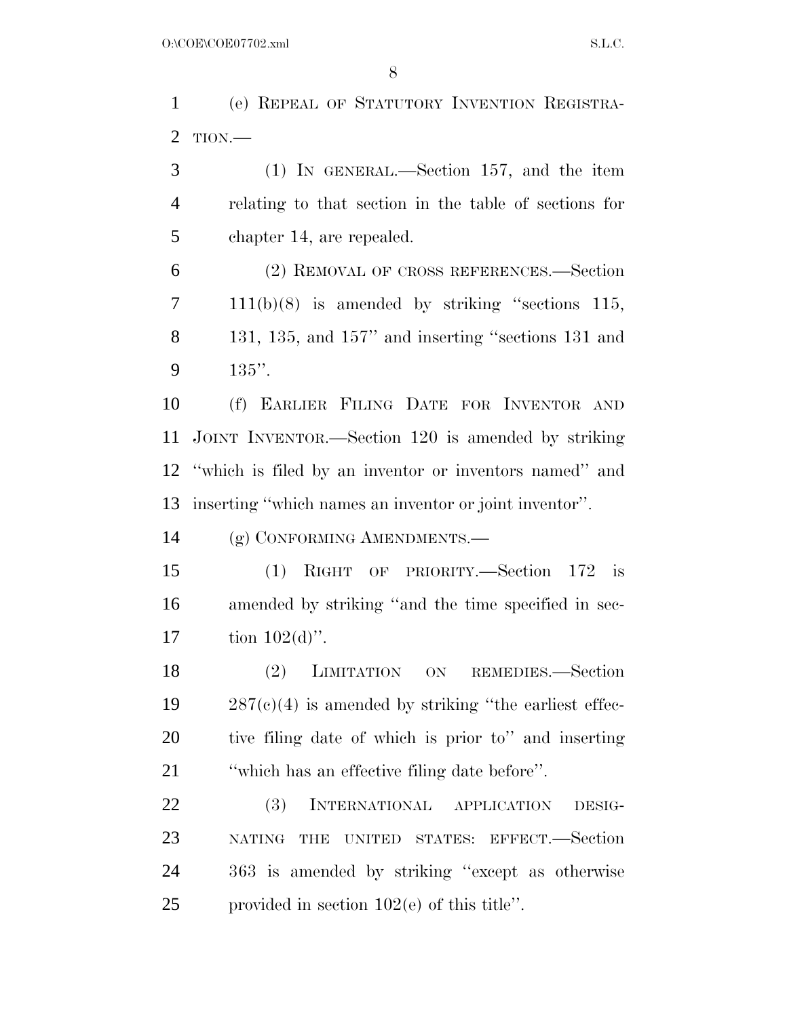(e) REPEAL OF STATUTORY INVENTION REGISTRA-TION.—

 (1) IN GENERAL.—Section 157, and the item relating to that section in the table of sections for chapter 14, are repealed.

 (2) REMOVAL OF CROSS REFERENCES.—Section 111(b)(8) is amended by striking ''sections 115, 131, 135, and 157'' and inserting ''sections 131 and 135''.

 (f) EARLIER FILING DATE FOR INVENTOR AND JOINT INVENTOR.—Section 120 is amended by striking ''which is filed by an inventor or inventors named'' and inserting ''which names an inventor or joint inventor''.

(g) CONFORMING AMENDMENTS.—

 (1) RIGHT OF PRIORITY.—Section 172 is amended by striking ''and the time specified in sec-17 tion  $102(d)$ ".

 (2) LIMITATION ON REMEDIES.—Section  $19 \qquad 287(e)(4)$  is amended by striking "the earliest effec- tive filing date of which is prior to'' and inserting ''which has an effective filing date before''.

 (3) INTERNATIONAL APPLICATION DESIG- NATING THE UNITED STATES: EFFECT.—Section 363 is amended by striking ''except as otherwise provided in section 102(e) of this title''.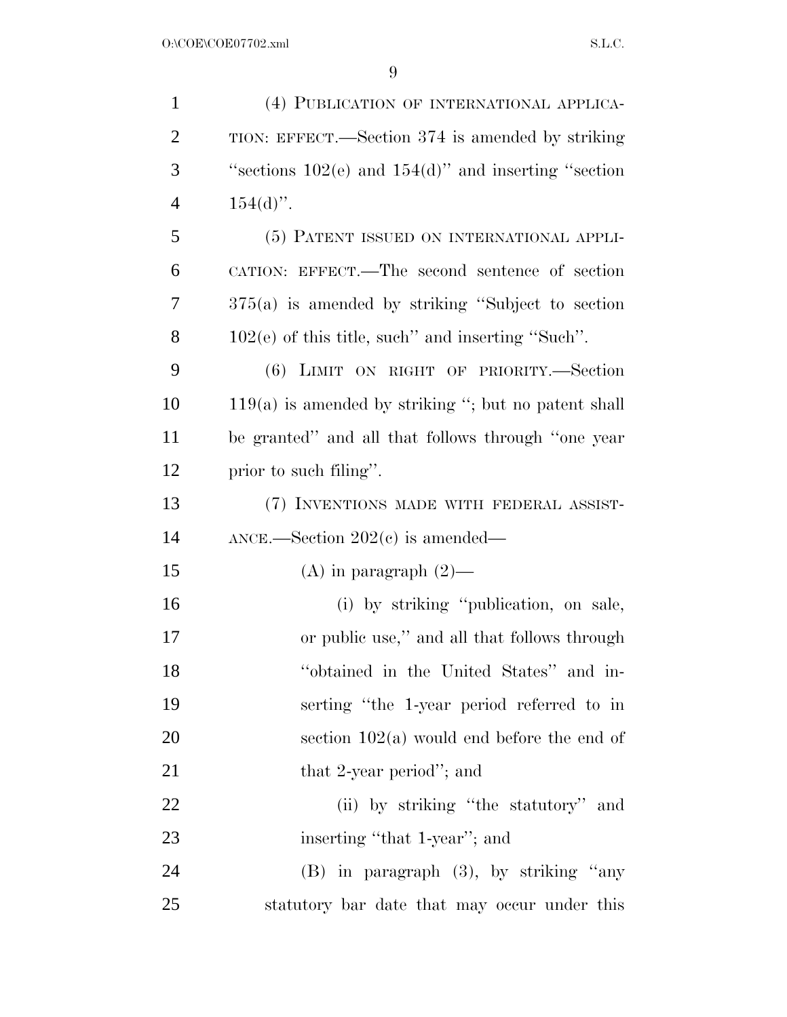| $\mathbf{1}$   | (4) PUBLICATION OF INTERNATIONAL APPLICA-                 |
|----------------|-----------------------------------------------------------|
| $\overline{2}$ | TION: EFFECT.—Section 374 is amended by striking          |
| 3              | "sections $102(e)$ and $154(d)$ " and inserting "section" |
| $\overline{4}$ | $154(d)$ ".                                               |
| 5              | (5) PATENT ISSUED ON INTERNATIONAL APPLI-                 |
| 6              | CATION: EFFECT.—The second sentence of section            |
| 7              | $375(a)$ is amended by striking "Subject to section"      |
| 8              | $102(e)$ of this title, such" and inserting "Such".       |
| 9              | (6) LIMIT ON RIGHT OF PRIORITY.-Section                   |
| 10             | $119(a)$ is amended by striking "; but no patent shall    |
| 11             | be granted" and all that follows through "one year        |
| 12             | prior to such filing".                                    |
| 13             | (7) INVENTIONS MADE WITH FEDERAL ASSIST-                  |
| 14             | $\text{ANCE.}$ -Section 202(c) is amended—                |
| 15             | (A) in paragraph $(2)$ —                                  |
| 16             | (i) by striking "publication, on sale,                    |
| 17             | or public use," and all that follows through              |
| 18             | "obtained in the United States" and in-                   |
| 19             | serting "the 1-year period referred to in                 |
| 20             | section $102(a)$ would end before the end of              |
| 21             | that 2-year period"; and                                  |
| 22             | (ii) by striking "the statutory" and                      |
| 23             | inserting "that 1-year"; and                              |
| 24             | $(B)$ in paragraph $(3)$ , by striking "any               |
| 25             | statutory bar date that may occur under this              |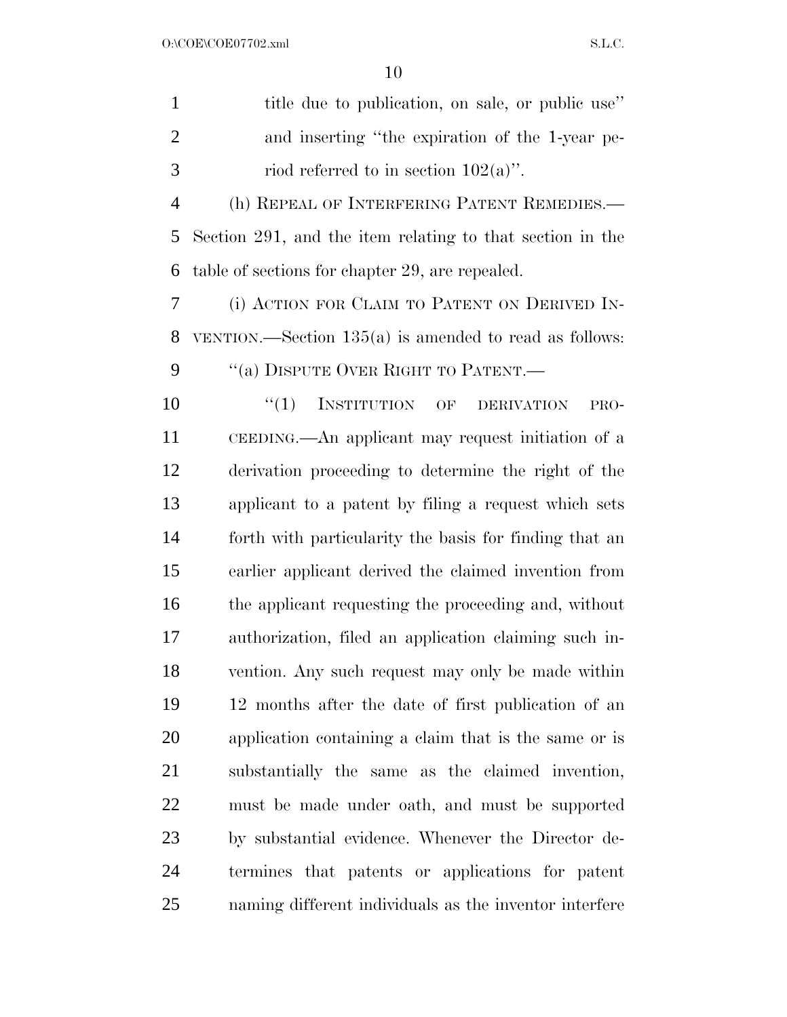| $\mathbf{1}$   | title due to publication, on sale, or public use"         |
|----------------|-----------------------------------------------------------|
| $\overline{2}$ | and inserting "the expiration of the 1-year pe-           |
| 3              | riod referred to in section $102(a)$ ".                   |
| $\overline{4}$ | (h) REPEAL OF INTERFERING PATENT REMEDIES.-               |
| 5              | Section 291, and the item relating to that section in the |
| 6              | table of sections for chapter 29, are repealed.           |
| 7              | (i) ACTION FOR CLAIM TO PATENT ON DERIVED IN-             |
| 8              | VENTION.—Section $135(a)$ is amended to read as follows:  |
| 9              | "(a) DISPUTE OVER RIGHT TO PATENT.—                       |
| 10             | $``(1)$ INSTITUTION OF<br><b>DERIVATION</b><br>PRO-       |
| 11             | CEEDING.—An applicant may request initiation of a         |
| 12             | derivation proceeding to determine the right of the       |
| 13             | applicant to a patent by filing a request which sets      |
| 14             | forth with particularity the basis for finding that an    |
| 15             | earlier applicant derived the claimed invention from      |
| 16             | the applicant requesting the proceeding and, without      |
| 17             | authorization, filed an application claiming such in-     |
| 18             | vention. Any such request may only be made within         |
| 19             | 12 months after the date of first publication of an       |
| 20             | application containing a claim that is the same or is     |
| 21             | substantially the same as the claimed invention,          |
| 22             | must be made under oath, and must be supported            |
| 23             | by substantial evidence. Whenever the Director de-        |
| 24             | termines that patents or applications for patent          |

naming different individuals as the inventor interfere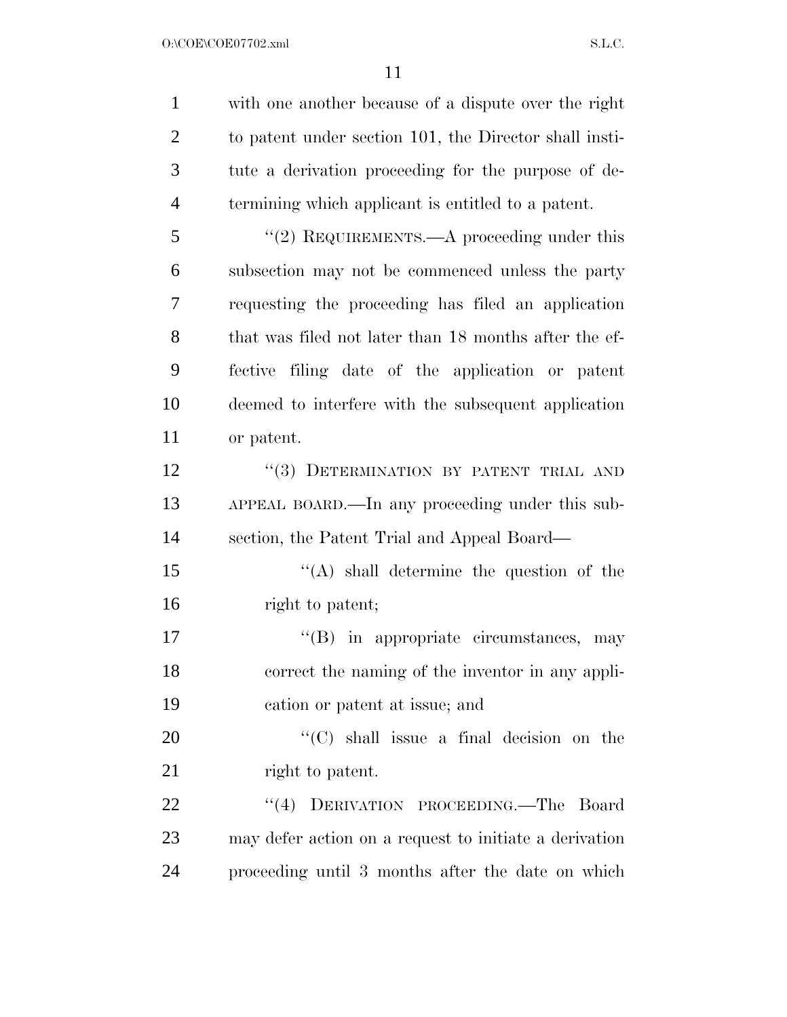$O:\text{COE}(\text{COE07702}.\text{xml}$  S.L.C.

| $\mathbf{1}$   | with one another because of a dispute over the right   |
|----------------|--------------------------------------------------------|
| $\overline{2}$ | to patent under section 101, the Director shall insti- |
| 3              | tute a derivation proceeding for the purpose of de-    |
| $\overline{4}$ | termining which applicant is entitled to a patent.     |
| 5              | "(2) REQUIREMENTS.—A proceeding under this             |
| 6              | subsection may not be commenced unless the party       |
| 7              | requesting the proceeding has filed an application     |
| 8              | that was filed not later than 18 months after the ef-  |
| 9              | fective filing date of the application or patent       |
| 10             | deemed to interfere with the subsequent application    |
| 11             | or patent.                                             |
| 12             | "(3) DETERMINATION BY PATENT TRIAL AND                 |
| 13             | APPEAL BOARD.—In any proceeding under this sub-        |
| 14             | section, the Patent Trial and Appeal Board—            |
| 15             | $\lq\lq$ shall determine the question of the           |
| 16             | right to patent;                                       |
| 17             | $\lq\lq$ (B) in appropriate circumstances, may         |
| 18             | correct the naming of the inventor in any appli-       |
| 19             | cation or patent at issue; and                         |
| 20             | " $(C)$ shall issue a final decision on the            |
| 21             | right to patent.                                       |
| 22             | DERIVATION PROCEEDING.—The<br>(4)<br>Board             |
| 23             | may defer action on a request to initiate a derivation |
| 24             | proceeding until 3 months after the date on which      |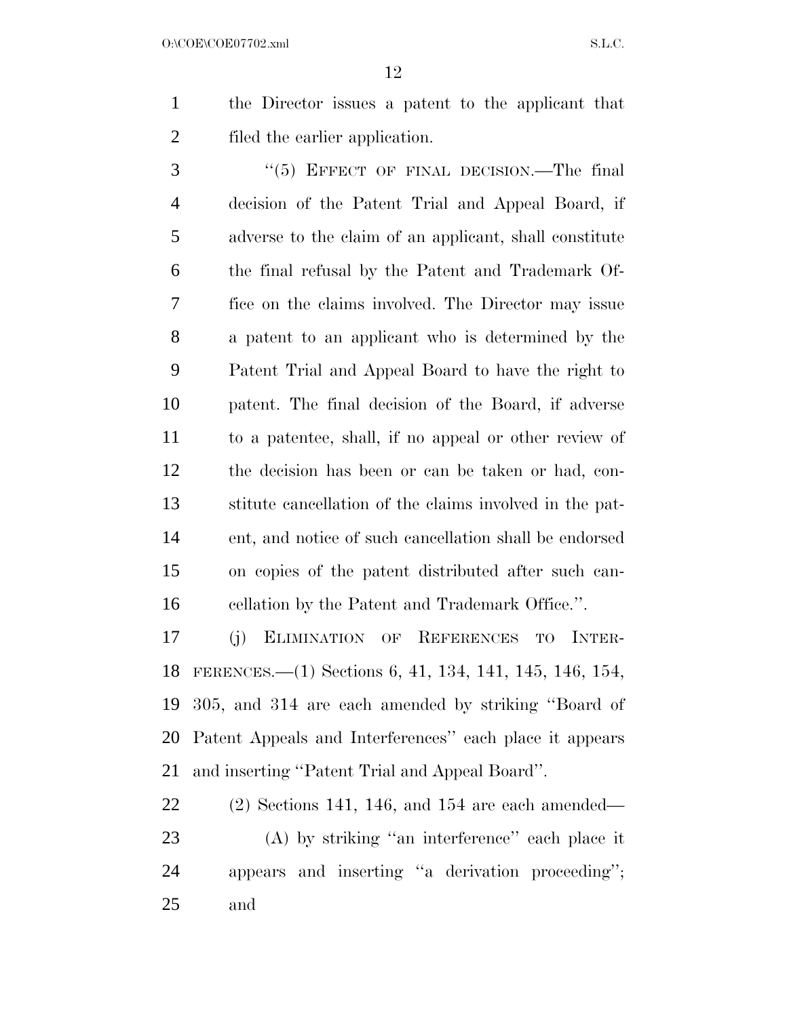the Director issues a patent to the applicant that filed the earlier application.

3 "(5) EFFECT OF FINAL DECISION.—The final decision of the Patent Trial and Appeal Board, if adverse to the claim of an applicant, shall constitute the final refusal by the Patent and Trademark Of- fice on the claims involved. The Director may issue a patent to an applicant who is determined by the Patent Trial and Appeal Board to have the right to patent. The final decision of the Board, if adverse to a patentee, shall, if no appeal or other review of the decision has been or can be taken or had, con- stitute cancellation of the claims involved in the pat- ent, and notice of such cancellation shall be endorsed on copies of the patent distributed after such can-cellation by the Patent and Trademark Office.''.

 (j) ELIMINATION OF REFERENCES TO INTER- FERENCES.—(1) Sections 6, 41, 134, 141, 145, 146, 154, 305, and 314 are each amended by striking ''Board of Patent Appeals and Interferences'' each place it appears and inserting ''Patent Trial and Appeal Board''.

 (2) Sections 141, 146, and 154 are each amended— (A) by striking ''an interference'' each place it appears and inserting ''a derivation proceeding''; and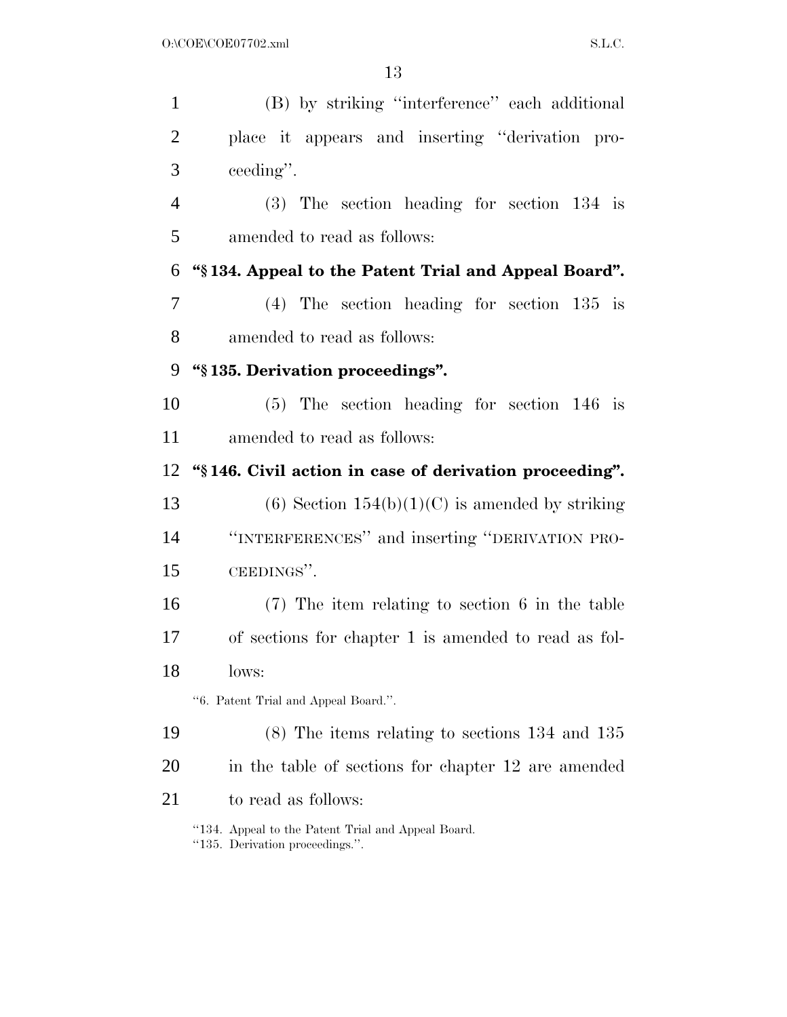| $\mathbf{1}$   | (B) by striking "interference" each additional                                        |
|----------------|---------------------------------------------------------------------------------------|
| $\overline{2}$ | place it appears and inserting "derivation pro-                                       |
| 3              | ceeding".                                                                             |
| $\overline{4}$ | $(3)$ The section heading for section 134 is                                          |
| 5              | amended to read as follows:                                                           |
| 6              | "\\$134. Appeal to the Patent Trial and Appeal Board".                                |
| 7              | $(4)$ The section heading for section 135 is                                          |
| 8              | amended to read as follows:                                                           |
| 9              | "§135. Derivation proceedings".                                                       |
| 10             | $(5)$ The section heading for section 146 is                                          |
| 11             | amended to read as follows:                                                           |
| 12             | "§146. Civil action in case of derivation proceeding".                                |
| 13             | (6) Section $154(b)(1)(C)$ is amended by striking                                     |
| 14             | "INTERFERENCES" and inserting "DERIVATION PRO-                                        |
| 15             | CEEDINGS".                                                                            |
| 16             | $(7)$ The item relating to section 6 in the table                                     |
| 17             | of sections for chapter 1 is amended to read as fol-                                  |
| 18             | lows:                                                                                 |
|                | "6. Patent Trial and Appeal Board.".                                                  |
| 19             | $(8)$ The items relating to sections 134 and 135                                      |
| 20             | in the table of sections for chapter 12 are amended                                   |
| 21             | to read as follows:                                                                   |
|                | "134. Appeal to the Patent Trial and Appeal Board.<br>"135. Derivation proceedings.". |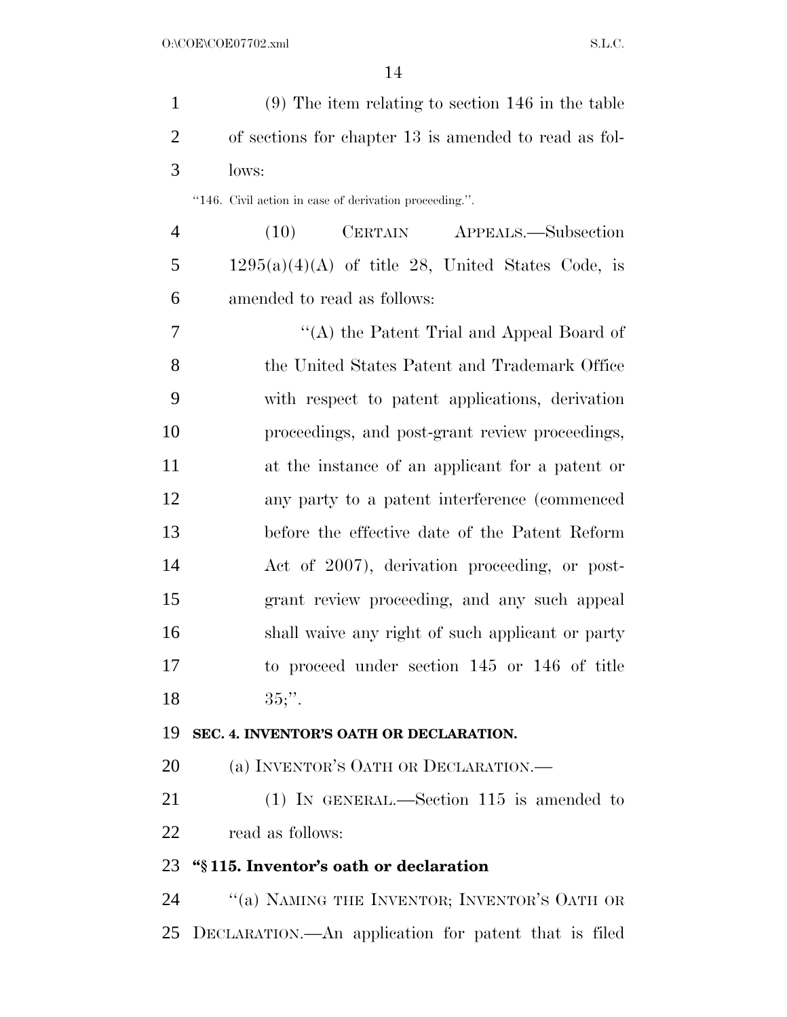| $\mathbf{1}$   | $(9)$ The item relating to section 146 in the table    |
|----------------|--------------------------------------------------------|
| $\overline{2}$ | of sections for chapter 13 is amended to read as fol-  |
| 3              | lows:                                                  |
|                | "146. Civil action in case of derivation proceeding.". |
| $\overline{4}$ | CERTAIN APPEALS.—Subsection<br>(10)                    |
| 5              | $1295(a)(4)(A)$ of title 28, United States Code, is    |
| 6              | amended to read as follows:                            |
| 7              | "(A) the Patent Trial and Appeal Board of              |
| 8              | the United States Patent and Trademark Office          |
| 9              | with respect to patent applications, derivation        |
| 10             | proceedings, and post-grant review proceedings,        |
| 11             | at the instance of an applicant for a patent or        |
| 12             | any party to a patent interference (commenced)         |
| 13             | before the effective date of the Patent Reform         |
| 14             | Act of 2007), derivation proceeding, or post-          |
| 15             | grant review proceeding, and any such appeal           |
| 16             | shall waive any right of such applicant or party       |
| 17             | to proceed under section 145 or 146 of title           |
| 18             | $35$ :".                                               |
| 19             | SEC. 4. INVENTOR'S OATH OR DECLARATION.                |
| 20             | (a) INVENTOR'S OATH OR DECLARATION.—                   |
| 21             | $(1)$ IN GENERAL.—Section 115 is amended to            |
| 22             | read as follows:                                       |
| 23             | "§115. Inventor's oath or declaration                  |
| 24             | "(a) NAMING THE INVENTOR; INVENTOR'S OATH OR           |
| 25             | DECLARATION.—An application for patent that is filed   |
|                |                                                        |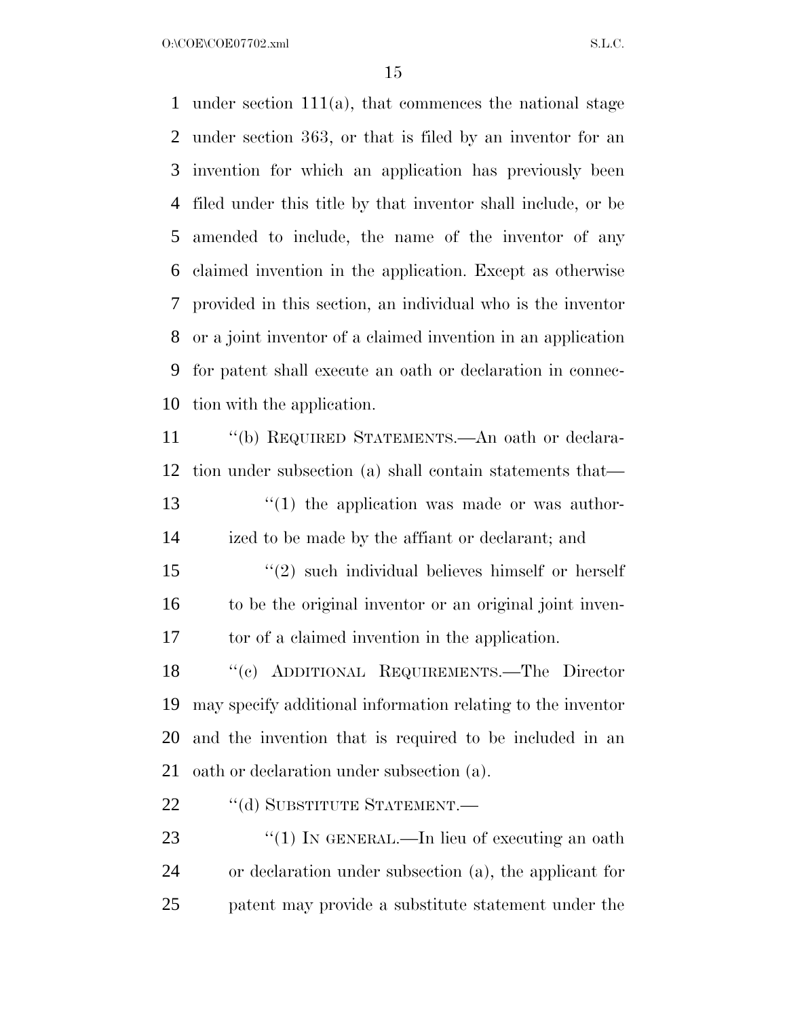$O:\text{COE} \setminus \text{COE07702}$ .xml  $SL.C.$ 

 under section 111(a), that commences the national stage under section 363, or that is filed by an inventor for an invention for which an application has previously been filed under this title by that inventor shall include, or be amended to include, the name of the inventor of any claimed invention in the application. Except as otherwise provided in this section, an individual who is the inventor or a joint inventor of a claimed invention in an application for patent shall execute an oath or declaration in connec-tion with the application.

 ''(b) REQUIRED STATEMENTS.—An oath or declara- tion under subsection (a) shall contain statements that—  $\frac{13}{12}$  the application was made or was author-ized to be made by the affiant or declarant; and

 ''(2) such individual believes himself or herself to be the original inventor or an original joint inven-tor of a claimed invention in the application.

 ''(c) ADDITIONAL REQUIREMENTS.—The Director may specify additional information relating to the inventor and the invention that is required to be included in an oath or declaration under subsection (a).

22 "(d) SUBSTITUTE STATEMENT.—

23 "(1) IN GENERAL.—In lieu of executing an oath or declaration under subsection (a), the applicant for patent may provide a substitute statement under the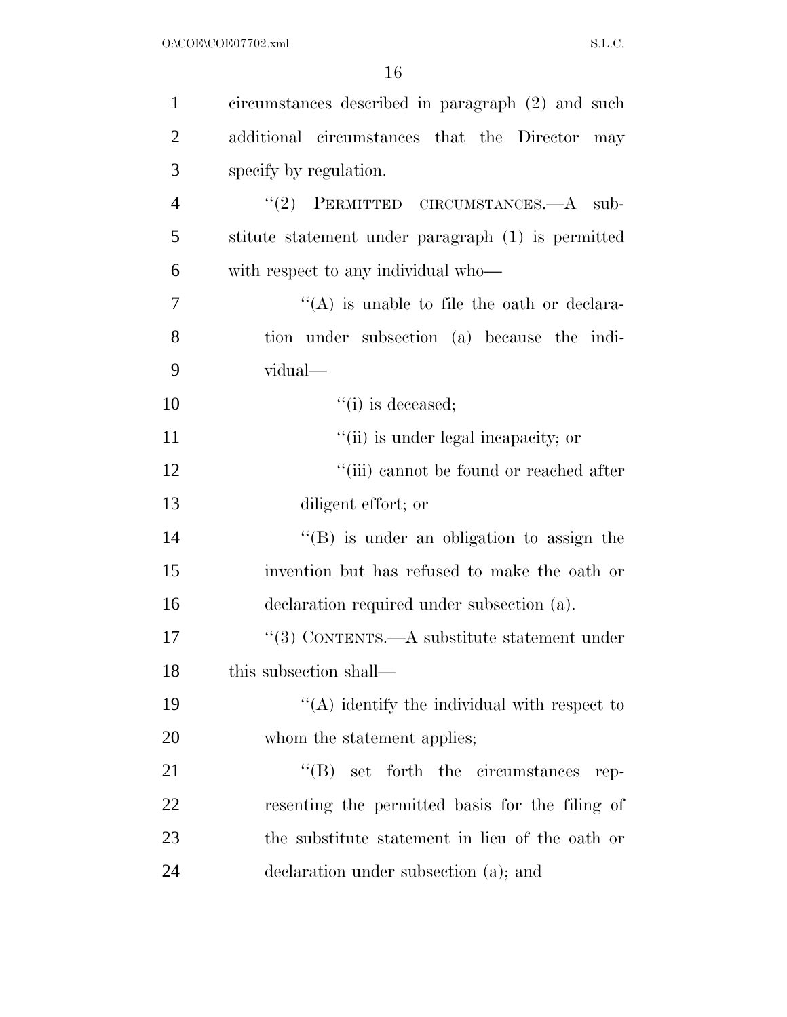| $\mathbf{1}$   | circumstances described in paragraph (2) and such  |
|----------------|----------------------------------------------------|
| $\overline{2}$ | additional circumstances that the Director<br>may  |
| 3              | specify by regulation.                             |
| $\overline{4}$ | "(2) PERMITTED CIRCUMSTANCES.—A sub-               |
| 5              | stitute statement under paragraph (1) is permitted |
| 6              | with respect to any individual who—                |
| 7              | $\lq\lq$ is unable to file the oath or declara-    |
| 8              | tion under subsection (a) because the indi-        |
| 9              | vidual—                                            |
| 10             | $``(i)$ is deceased;                               |
| 11             | "(ii) is under legal incapacity; or                |
| 12             | "(iii) cannot be found or reached after            |
| 13             | diligent effort; or                                |
| 14             | $\lq\lq (B)$ is under an obligation to assign the  |
| 15             | invention but has refused to make the oath or      |
| 16             | declaration required under subsection (a).         |
| 17             | "(3) CONTENTS.—A substitute statement under        |
| 18             | this subsection shall—                             |
| 19             | "(A) identify the individual with respect to       |
| 20             | whom the statement applies;                        |
| 21             | $\lq\lq$ Set forth the circumstances<br>rep-       |
| 22             | resenting the permitted basis for the filing of    |
| 23             | the substitute statement in lieu of the oath or    |
| 24             | declaration under subsection (a); and              |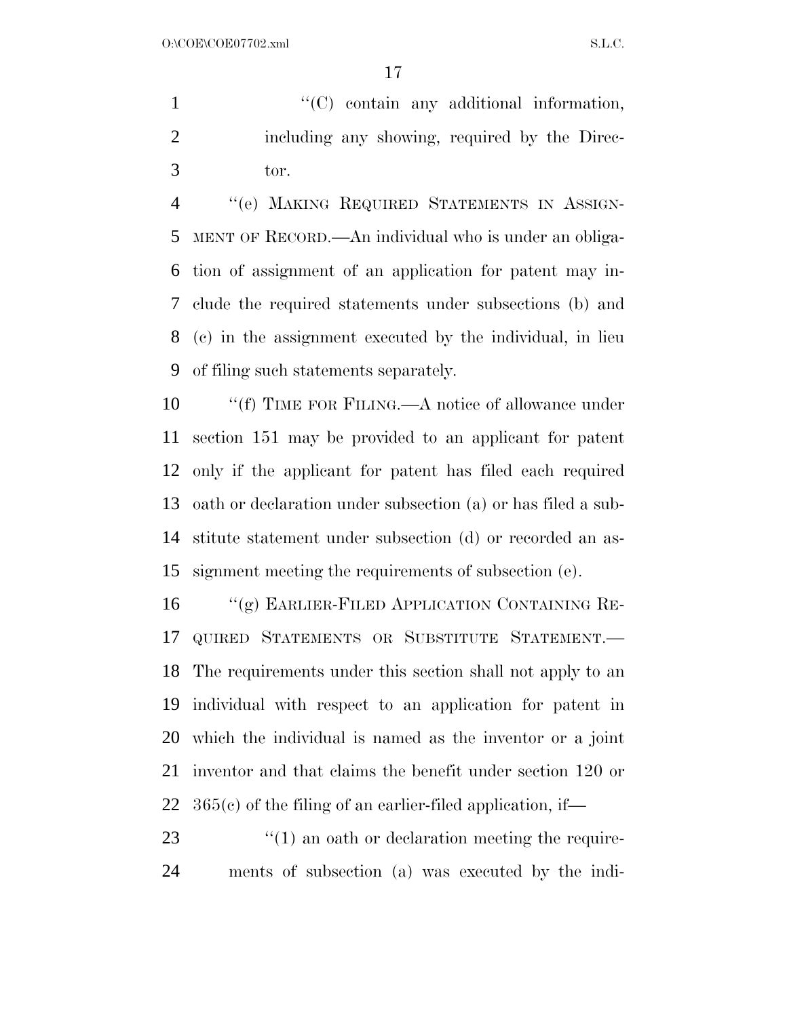1  $\langle ^{\prime}(C) \rangle$  contain any additional information, including any showing, required by the Direc-tor.

 ''(e) MAKING REQUIRED STATEMENTS IN ASSIGN- MENT OF RECORD.—An individual who is under an obliga- tion of assignment of an application for patent may in- clude the required statements under subsections (b) and (c) in the assignment executed by the individual, in lieu of filing such statements separately.

10 "'(f) TIME FOR FILING.—A notice of allowance under section 151 may be provided to an applicant for patent only if the applicant for patent has filed each required oath or declaration under subsection (a) or has filed a sub- stitute statement under subsection (d) or recorded an as-signment meeting the requirements of subsection (e).

 ''(g) EARLIER-FILED APPLICATION CONTAINING RE- QUIRED STATEMENTS OR SUBSTITUTE STATEMENT.— The requirements under this section shall not apply to an individual with respect to an application for patent in which the individual is named as the inventor or a joint inventor and that claims the benefit under section 120 or  $365(c)$  of the filing of an earlier-filed application, if—

23 ''(1) an oath or declaration meeting the require-ments of subsection (a) was executed by the indi-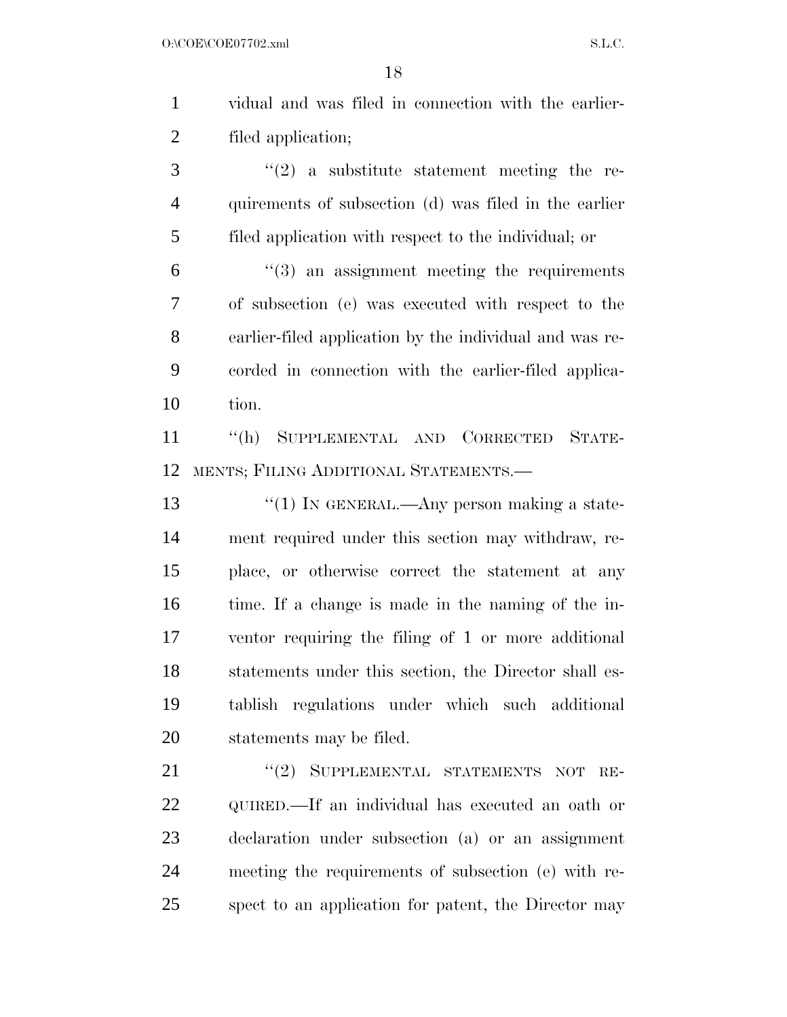vidual and was filed in connection with the earlier-filed application;

 ''(2) a substitute statement meeting the re- quirements of subsection (d) was filed in the earlier filed application with respect to the individual; or

 $(3)$  an assignment meeting the requirements of subsection (e) was executed with respect to the earlier-filed application by the individual and was re- corded in connection with the earlier-filed applica-tion.

 ''(h) SUPPLEMENTAL AND CORRECTED STATE-MENTS; FILING ADDITIONAL STATEMENTS.—

 $\frac{1}{2}$   $\frac{1}{2}$  IN GENERAL.—Any person making a state- ment required under this section may withdraw, re- place, or otherwise correct the statement at any time. If a change is made in the naming of the in- ventor requiring the filing of 1 or more additional statements under this section, the Director shall es- tablish regulations under which such additional statements may be filed.

21 "(2) SUPPLEMENTAL STATEMENTS NOT RE- QUIRED.—If an individual has executed an oath or declaration under subsection (a) or an assignment meeting the requirements of subsection (e) with re-spect to an application for patent, the Director may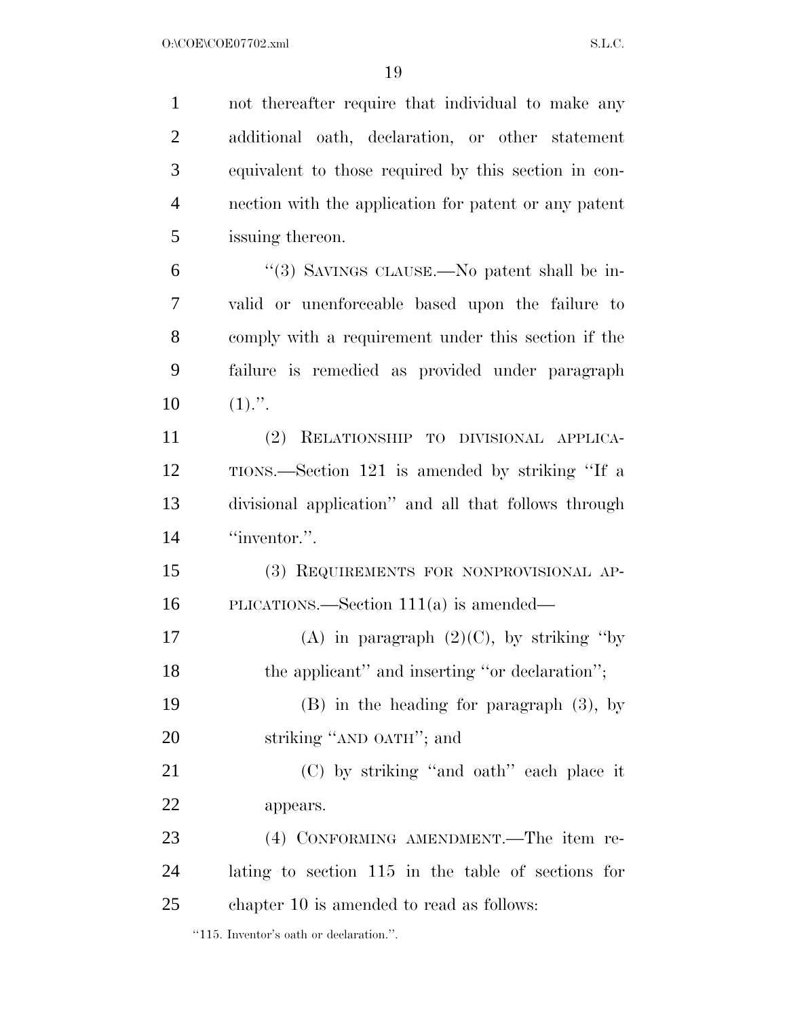not thereafter require that individual to make any additional oath, declaration, or other statement equivalent to those required by this section in con- nection with the application for patent or any patent issuing thereon. ''(3) SAVINGS CLAUSE.—No patent shall be in- valid or unenforceable based upon the failure to comply with a requirement under this section if the failure is remedied as provided under paragraph  $10 \t(1)."$ . (2) RELATIONSHIP TO DIVISIONAL APPLICA- TIONS.—Section 121 is amended by striking ''If a divisional application'' and all that follows through 14 "inventor.". (3) REQUIREMENTS FOR NONPROVISIONAL AP- PLICATIONS.—Section 111(a) is amended— 17 (A) in paragraph  $(2)(C)$ , by striking "by 18 the applicant" and inserting "or declaration"; (B) in the heading for paragraph (3), by 20 striking "AND OATH"; and (C) by striking ''and oath'' each place it appears. (4) CONFORMING AMENDMENT.—The item re- lating to section 115 in the table of sections for chapter 10 is amended to read as follows:

''115. Inventor's oath or declaration.''.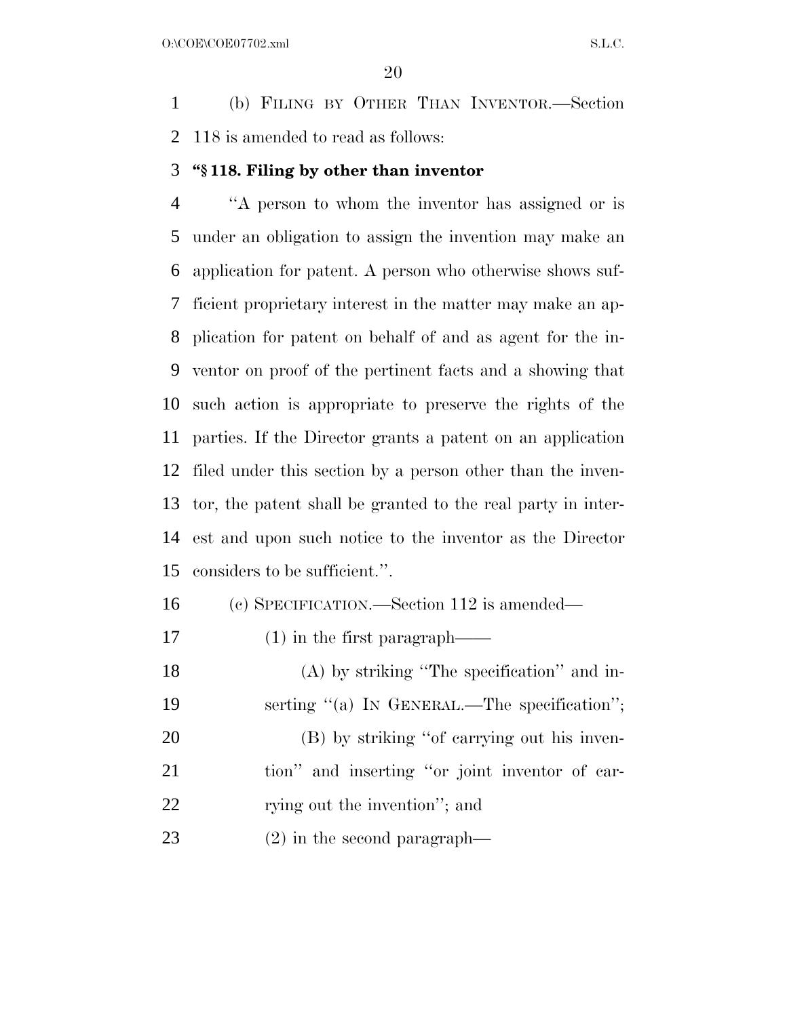(b) FILING BY OTHER THAN INVENTOR.—Section 118 is amended to read as follows:

#### **''§ 118. Filing by other than inventor**

 ''A person to whom the inventor has assigned or is under an obligation to assign the invention may make an application for patent. A person who otherwise shows suf- ficient proprietary interest in the matter may make an ap- plication for patent on behalf of and as agent for the in- ventor on proof of the pertinent facts and a showing that such action is appropriate to preserve the rights of the parties. If the Director grants a patent on an application filed under this section by a person other than the inven- tor, the patent shall be granted to the real party in inter- est and upon such notice to the inventor as the Director considers to be sufficient.''.

- (c) SPECIFICATION.—Section 112 is amended—
- 17 (1) in the first paragraph—
- (A) by striking ''The specification'' and in-19 serting "(a) IN GENERAL.—The specification"; (B) by striking ''of carrying out his inven- tion'' and inserting ''or joint inventor of car-22 rying out the invention"; and
- (2) in the second paragraph—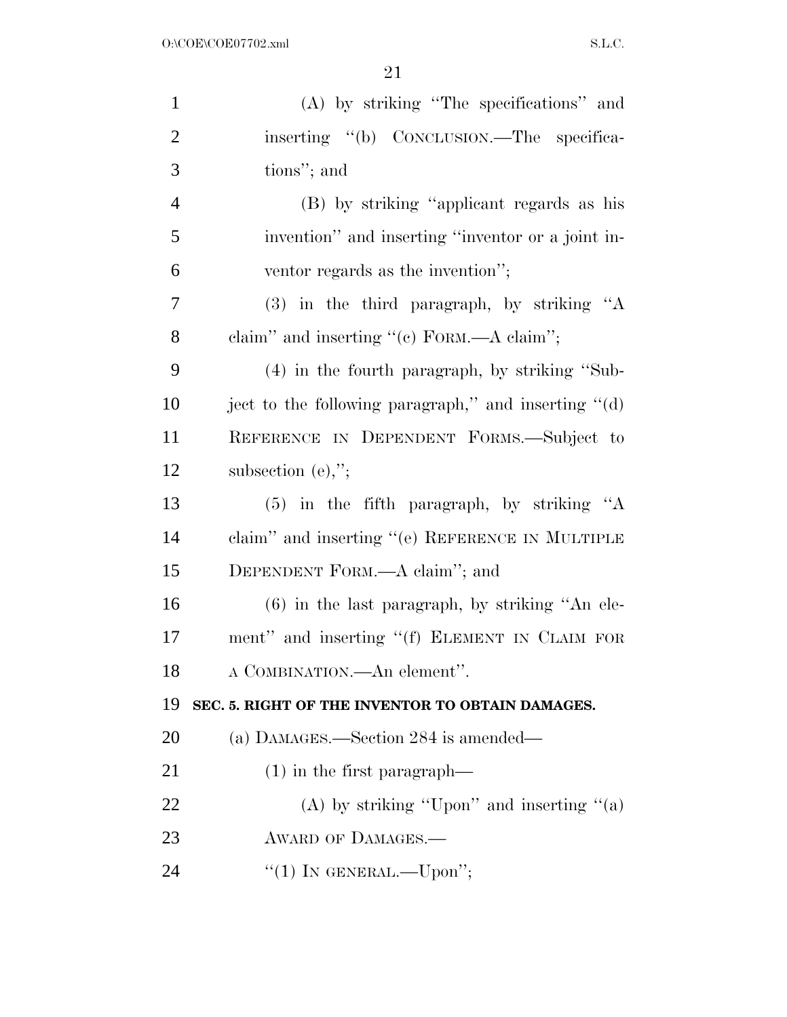| $\mathbf{1}$   | (A) by striking "The specifications" and                         |
|----------------|------------------------------------------------------------------|
| $\overline{2}$ | inserting "(b) CONCLUSION.—The specifica-                        |
| 3              | tions"; and                                                      |
| $\overline{4}$ | (B) by striking "applicant regards as his                        |
| 5              | invention" and inserting "inventor or a joint in-                |
| 6              | ventor regards as the invention";                                |
| $\overline{7}$ | $(3)$ in the third paragraph, by striking "A                     |
| 8              | claim" and inserting "(c) FORM.—A claim";                        |
| 9              | (4) in the fourth paragraph, by striking "Sub-                   |
| 10             | ject to the following paragraph," and inserting $\mathcal{L}(d)$ |
| 11             | REFERENCE IN DEPENDENT FORMS.-Subject to                         |
| 12             | subsection $(e)$ ,";                                             |
| 13             | $(5)$ in the fifth paragraph, by striking "A                     |
| 14             | claim" and inserting " $(e)$ REFERENCE IN MULTIPLE               |
| 15             | DEPENDENT FORM.—A claim"; and                                    |
| 16             | $(6)$ in the last paragraph, by striking "An ele-                |
| 17             | ment" and inserting "(f) ELEMENT IN CLAIM FOR                    |
| 18             | A COMBINATION.—An element".                                      |
| 19             | SEC. 5. RIGHT OF THE INVENTOR TO OBTAIN DAMAGES.                 |
| 20             | (a) DAMAGES.—Section 284 is amended—                             |
| 21             | $(1)$ in the first paragraph—                                    |
| 22             | (A) by striking "Upon" and inserting "(a)                        |
| 23             | AWARD OF DAMAGES.-                                               |
| 24             | "(1) IN GENERAL.—Upon";                                          |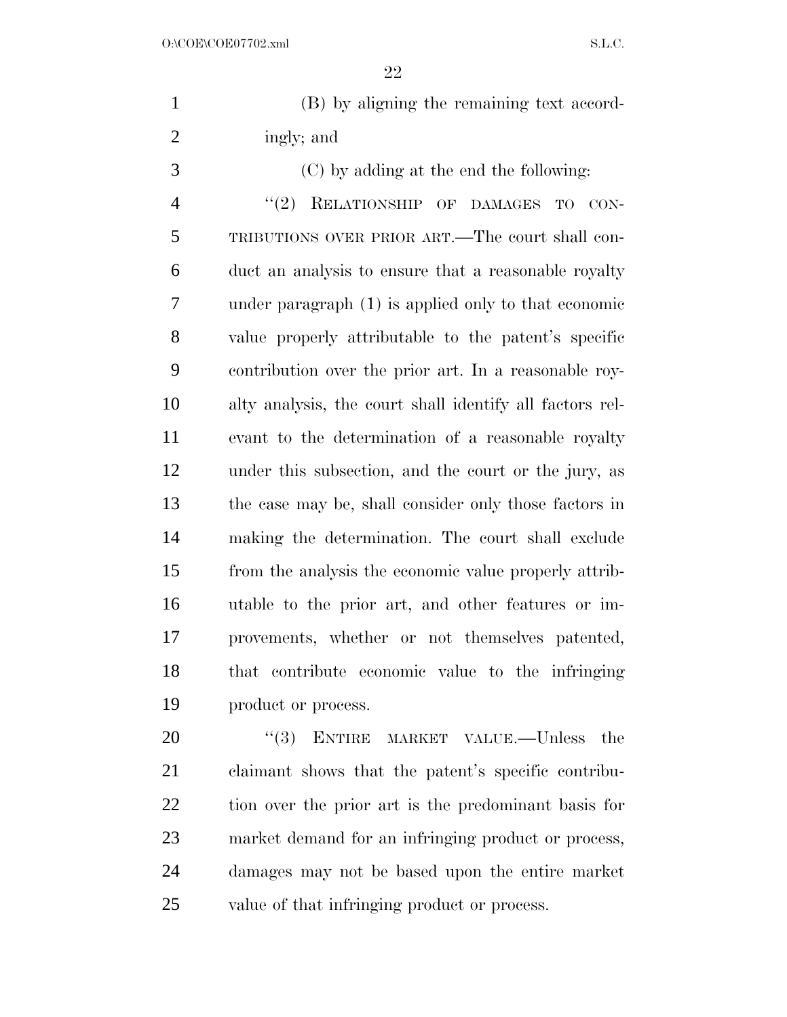| (B) by aligning the remaining text accord- |
|--------------------------------------------|
| ingly; and                                 |

 (C) by adding at the end the following: 4 "(2) RELATIONSHIP OF DAMAGES TO CON- TRIBUTIONS OVER PRIOR ART.—The court shall con- duct an analysis to ensure that a reasonable royalty under paragraph (1) is applied only to that economic value properly attributable to the patent's specific contribution over the prior art. In a reasonable roy- alty analysis, the court shall identify all factors rel- evant to the determination of a reasonable royalty under this subsection, and the court or the jury, as the case may be, shall consider only those factors in making the determination. The court shall exclude from the analysis the economic value properly attrib- utable to the prior art, and other features or im- provements, whether or not themselves patented, that contribute economic value to the infringing product or process.

20 "(3) ENTIRE MARKET VALUE.—Unless the claimant shows that the patent's specific contribu- tion over the prior art is the predominant basis for market demand for an infringing product or process, damages may not be based upon the entire market value of that infringing product or process.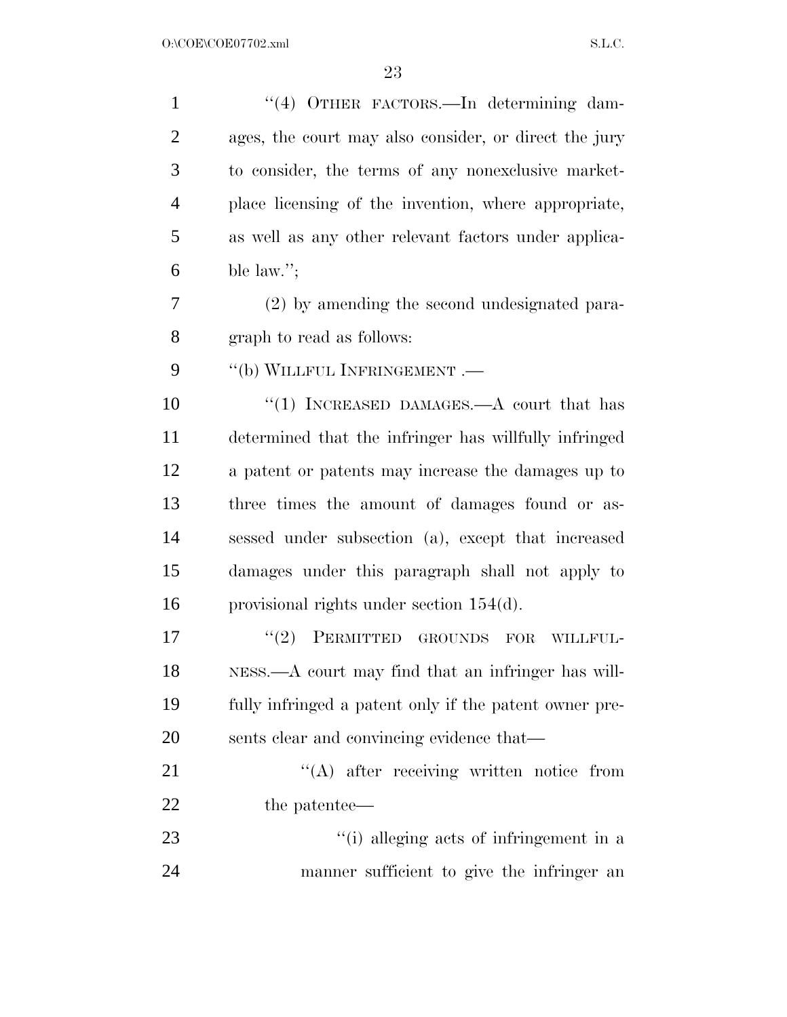| $\mathbf{1}$   | "(4) OTHER FACTORS.—In determining dam-                |
|----------------|--------------------------------------------------------|
| $\overline{2}$ | ages, the court may also consider, or direct the jury  |
| 3              | to consider, the terms of any nonexclusive market-     |
| $\overline{4}$ | place licensing of the invention, where appropriate,   |
| 5              | as well as any other relevant factors under applica-   |
| 6              | ble law.";                                             |
| 7              | (2) by amending the second undesignated para-          |
| 8              | graph to read as follows:                              |
| 9              | "(b) WILLFUL INFRINGEMENT .-                           |
| 10             | "(1) INCREASED DAMAGES.—A court that has               |
| 11             | determined that the infringer has willfully infringed  |
| 12             | a patent or patents may increase the damages up to     |
| 13             | three times the amount of damages found or as-         |
| 14             | sessed under subsection (a), except that increased     |
| 15             | damages under this paragraph shall not apply to        |
| 16             | provisional rights under section $154(d)$ .            |
| 17             | (2)<br>PERMITTED<br><b>GROUNDS</b><br>FOR<br>WILLFUL-  |
| 18             | NESS.—A court may find that an infringer has will-     |
| 19             | fully infringed a patent only if the patent owner pre- |
| 20             | sents clear and convincing evidence that—              |
| 21             | "(A) after receiving written notice from               |
| <u>22</u>      | the patentee—                                          |
| 23             | "(i) alleging acts of infringement in a                |
| 24             | manner sufficient to give the infringer an             |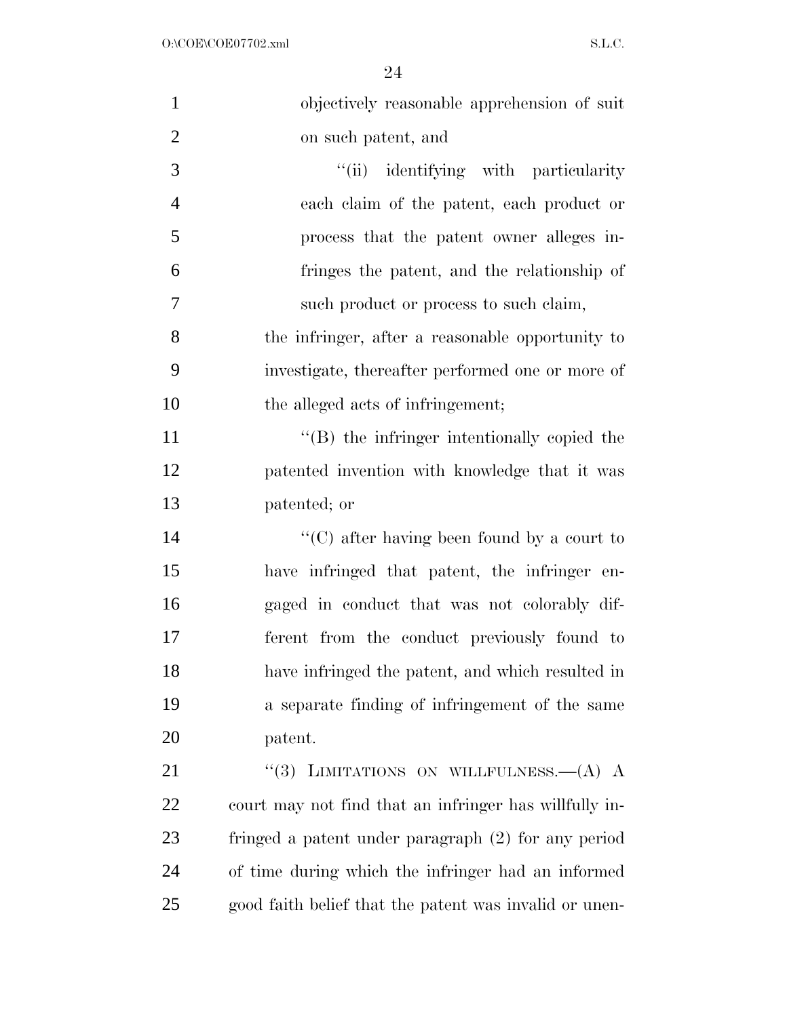| $\mathbf{1}$   | objectively reasonable apprehension of suit            |
|----------------|--------------------------------------------------------|
| $\overline{2}$ | on such patent, and                                    |
| 3              | "(ii) identifying with particularity                   |
| $\overline{4}$ | each claim of the patent, each product or              |
| 5              | process that the patent owner alleges in-              |
| 6              | fringes the patent, and the relationship of            |
| 7              | such product or process to such claim,                 |
| 8              | the infringer, after a reasonable opportunity to       |
| 9              | investigate, thereafter performed one or more of       |
| 10             | the alleged acts of infringement;                      |
| 11             | $\lq\lq$ the infringer intentionally copied the        |
| 12             | patented invention with knowledge that it was          |
| 13             | patented; or                                           |
| 14             | "(C) after having been found by a court to             |
| 15             | have infringed that patent, the infringer en-          |
| 16             | gaged in conduct that was not colorably dif-           |
| 17             | ferent from the conduct previously found to            |
| 18             | have infringed the patent, and which resulted in       |
| 19             | a separate finding of infringement of the same         |
| 20             | patent.                                                |
| 21             | LIMITATIONS ON WILLFULNESS. $-(A)$ A<br>(3)            |
| 22             | court may not find that an infringer has willfully in- |
| 23             | fringed a patent under paragraph (2) for any period    |
| 24             | of time during which the infringer had an informed     |
| 25             | good faith belief that the patent was invalid or unen- |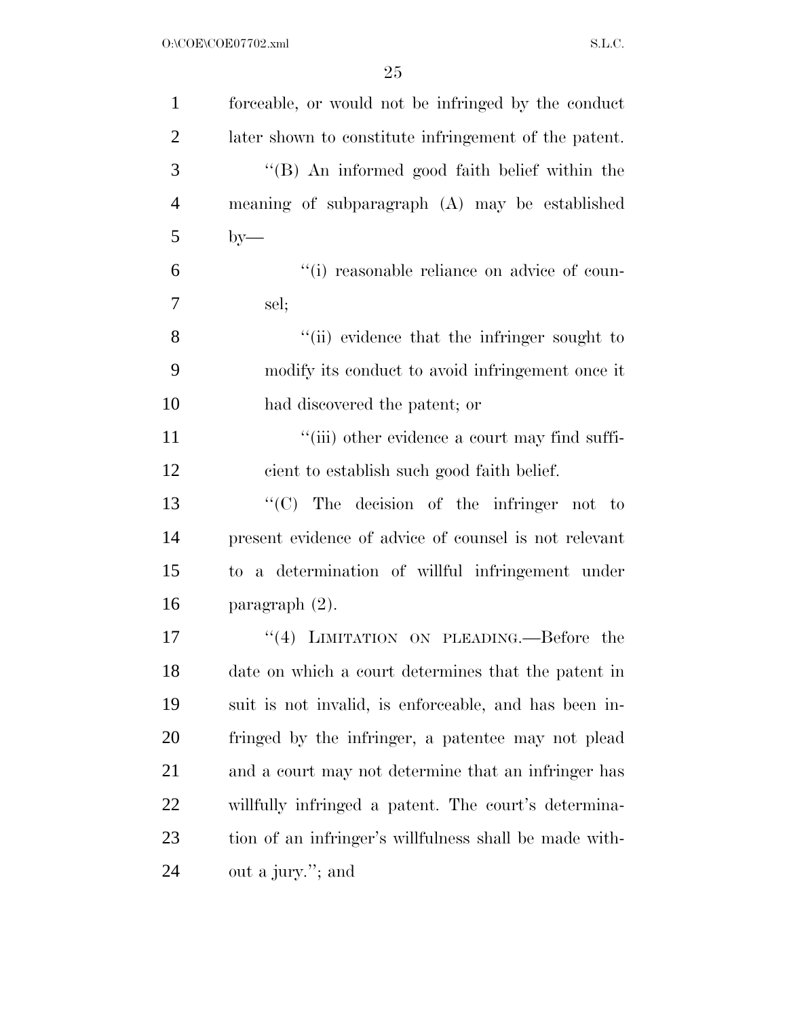| $\mathbf{1}$   | forceable, or would not be infringed by the conduct    |
|----------------|--------------------------------------------------------|
| $\overline{2}$ | later shown to constitute infringement of the patent.  |
| 3              | "(B) An informed good faith belief within the          |
| $\overline{4}$ | meaning of subparagraph (A) may be established         |
| 5              | $by-$                                                  |
| 6              | "(i) reasonable reliance on advice of coun-            |
| $\overline{7}$ | sel;                                                   |
| 8              | "(ii) evidence that the infringer sought to            |
| 9              | modify its conduct to avoid infringement once it       |
| 10             | had discovered the patent; or                          |
| 11             | "(iii) other evidence a court may find suffi-          |
| 12             | cient to establish such good faith belief.             |
| 13             | " $(C)$ The decision of the infringer not to           |
| 14             | present evidence of advice of counsel is not relevant  |
| 15             | to a determination of willful infringement under       |
| 16             | paragraph $(2)$ .                                      |
| 17             | "(4) LIMITATION ON PLEADING.—Before the                |
| 18             | date on which a court determines that the patent in    |
| 19             | suit is not invalid, is enforceable, and has been in-  |
| 20             | fringed by the infringer, a patentee may not plead     |
| 21             | and a court may not determine that an infringer has    |
| 22             | willfully infringed a patent. The court's determina-   |
| 23             | tion of an infringer's willfulness shall be made with- |
| 24             | out a jury."; and                                      |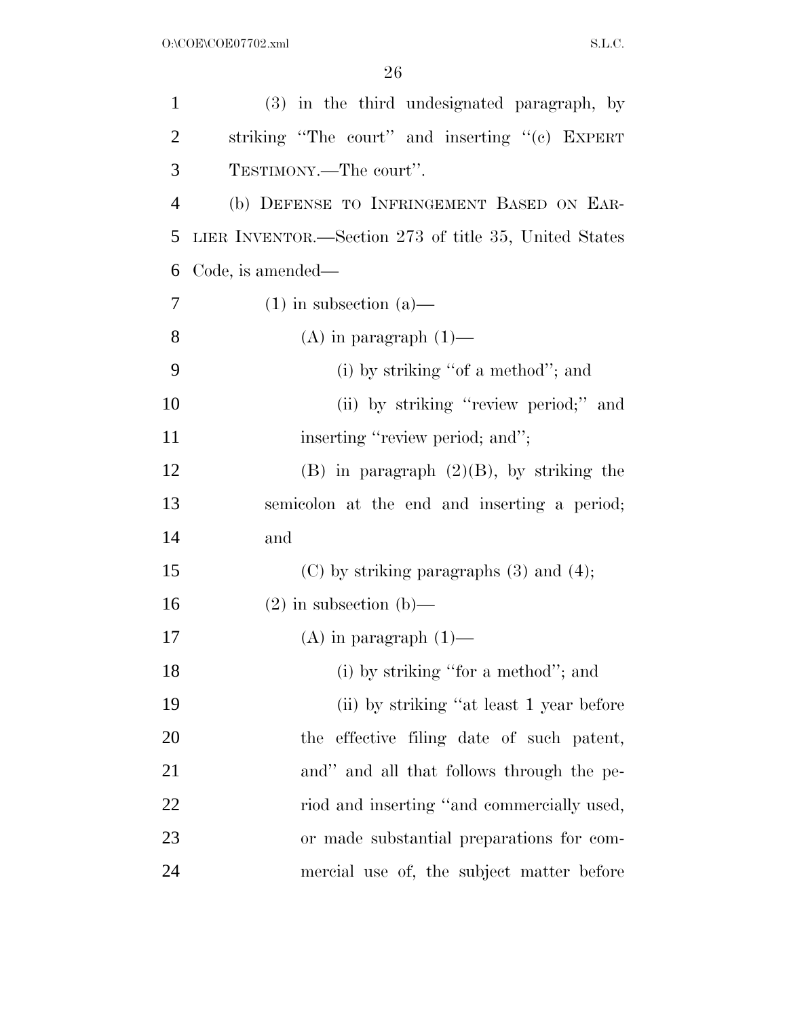| $\mathbf{1}$   | (3) in the third undesignated paragraph, by           |
|----------------|-------------------------------------------------------|
| $\overline{c}$ | striking "The court" and inserting "(c) EXPERT        |
| 3              | TESTIMONY.—The court".                                |
| $\overline{4}$ | (b) DEFENSE TO INFRINGEMENT BASED ON EAR-             |
| 5              | LIER INVENTOR.—Section 273 of title 35, United States |
| 6              | Code, is amended—                                     |
| 7              | $(1)$ in subsection $(a)$ —                           |
| 8              | $(A)$ in paragraph $(1)$ —                            |
| 9              | (i) by striking "of a method"; and                    |
| 10             | (ii) by striking "review period;" and                 |
| 11             | inserting "review period; and";                       |
| 12             | $(B)$ in paragraph $(2)(B)$ , by striking the         |
| 13             | semicolon at the end and inserting a period;          |
| 14             | and                                                   |
| 15             | $(C)$ by striking paragraphs $(3)$ and $(4)$ ;        |
| 16             | $(2)$ in subsection $(b)$ —                           |
| 17             | $(A)$ in paragraph $(1)$ —                            |
| 18             | (i) by striking "for a method"; and                   |
| 19             | (ii) by striking "at least 1 year before              |
| <b>20</b>      | the effective filing date of such patent,             |
| 21             | and" and all that follows through the pe-             |
| 22             | riod and inserting "and commercially used,            |
| 23             | or made substantial preparations for com-             |
| 24             | mercial use of, the subject matter before             |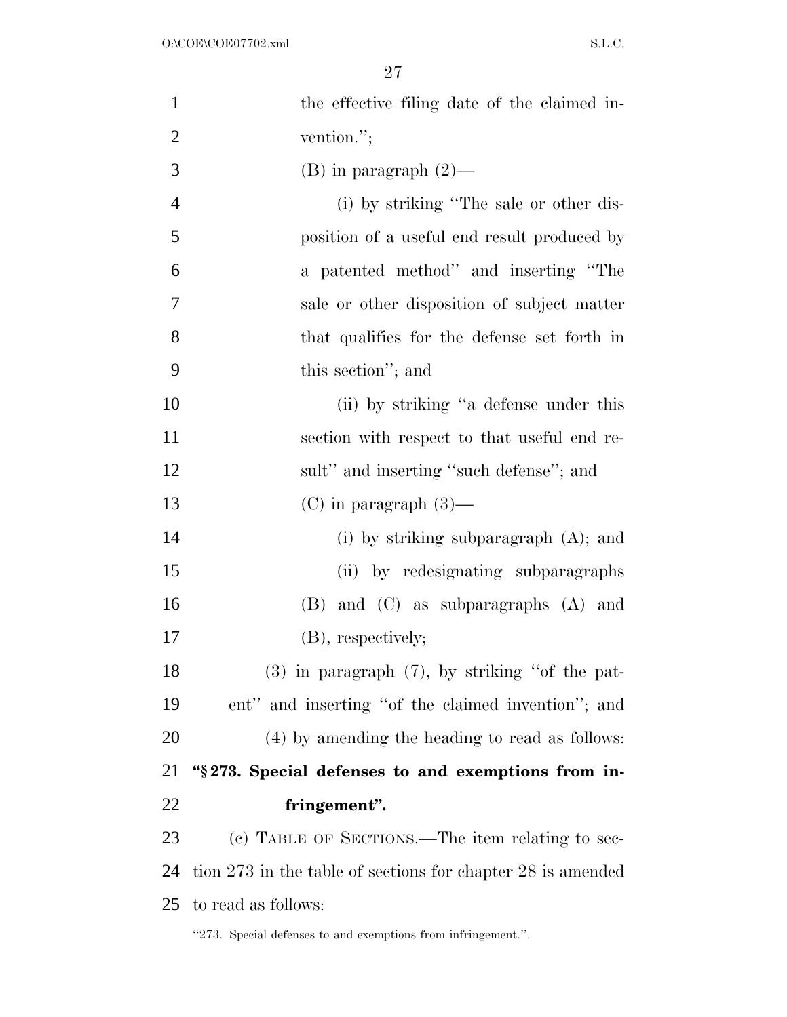| $\mathbf{1}$   | the effective filing date of the claimed in-                  |
|----------------|---------------------------------------------------------------|
| $\overline{2}$ | vention.";                                                    |
| 3              | $(B)$ in paragraph $(2)$ —                                    |
| $\overline{4}$ | (i) by striking "The sale or other dis-                       |
| 5              | position of a useful end result produced by                   |
| 6              | a patented method" and inserting "The                         |
| 7              | sale or other disposition of subject matter                   |
| 8              | that qualifies for the defense set forth in                   |
| 9              | this section"; and                                            |
| 10             | (ii) by striking "a defense under this                        |
| 11             | section with respect to that useful end re-                   |
| 12             | sult" and inserting "such defense"; and                       |
| 13             | $(C)$ in paragraph $(3)$ —                                    |
| 14             | (i) by striking subparagraph $(A)$ ; and                      |
| 15             | (ii) by redesignating subparagraphs                           |
| 16             | $(B)$ and $(C)$ as subparagraphs $(A)$ and                    |
| 17             | (B), respectively;                                            |
| 18             | $(3)$ in paragraph $(7)$ , by striking "of the pat-           |
| 19             | ent" and inserting "of the claimed invention"; and            |
| 20             | (4) by amending the heading to read as follows:               |
| 21             | "\\$273. Special defenses to and exemptions from in-          |
| 22             | fringement".                                                  |
| 23             | (c) TABLE OF SECTIONS.—The item relating to sec-              |
| 24             | tion 273 in the table of sections for chapter 28 is amended   |
| 25             | to read as follows:                                           |
|                | "273. Special defenses to and exemptions from infringement.". |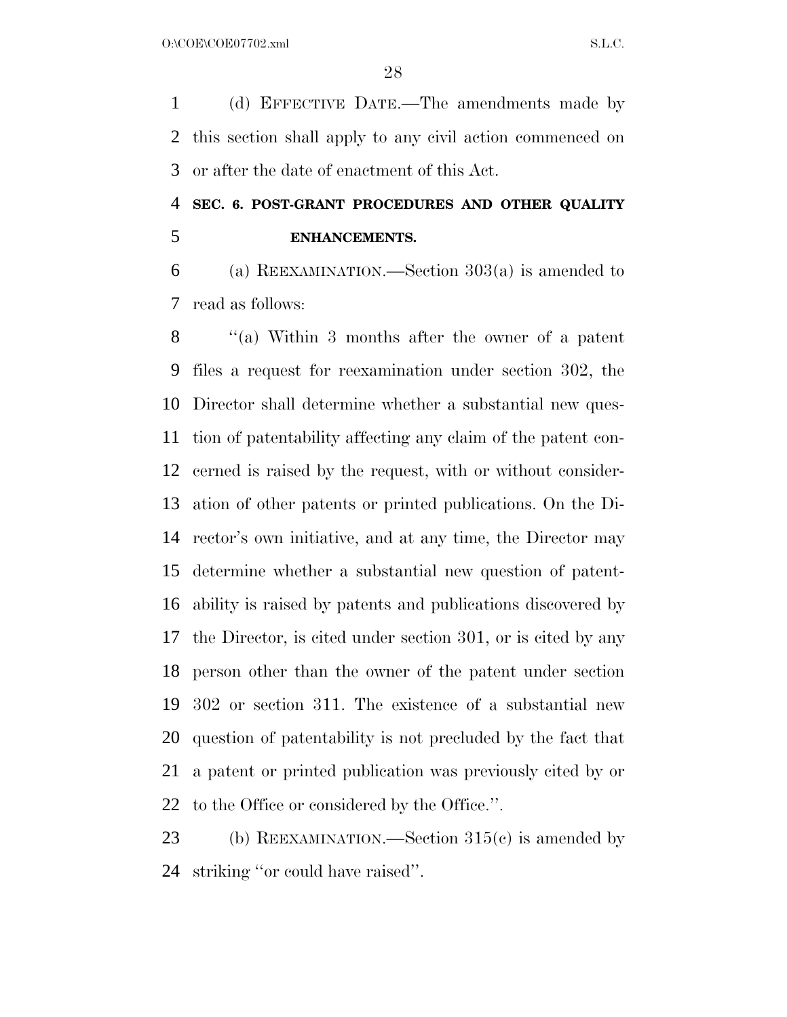(d) EFFECTIVE DATE.—The amendments made by this section shall apply to any civil action commenced on or after the date of enactment of this Act.

### **SEC. 6. POST-GRANT PROCEDURES AND OTHER QUALITY ENHANCEMENTS.**

 (a) REEXAMINATION.—Section 303(a) is amended to read as follows:

 ''(a) Within 3 months after the owner of a patent files a request for reexamination under section 302, the Director shall determine whether a substantial new ques- tion of patentability affecting any claim of the patent con- cerned is raised by the request, with or without consider- ation of other patents or printed publications. On the Di- rector's own initiative, and at any time, the Director may determine whether a substantial new question of patent- ability is raised by patents and publications discovered by the Director, is cited under section 301, or is cited by any person other than the owner of the patent under section 302 or section 311. The existence of a substantial new question of patentability is not precluded by the fact that a patent or printed publication was previously cited by or to the Office or considered by the Office.''.

23 (b) REEXAMINATION.—Section 315(c) is amended by striking ''or could have raised''.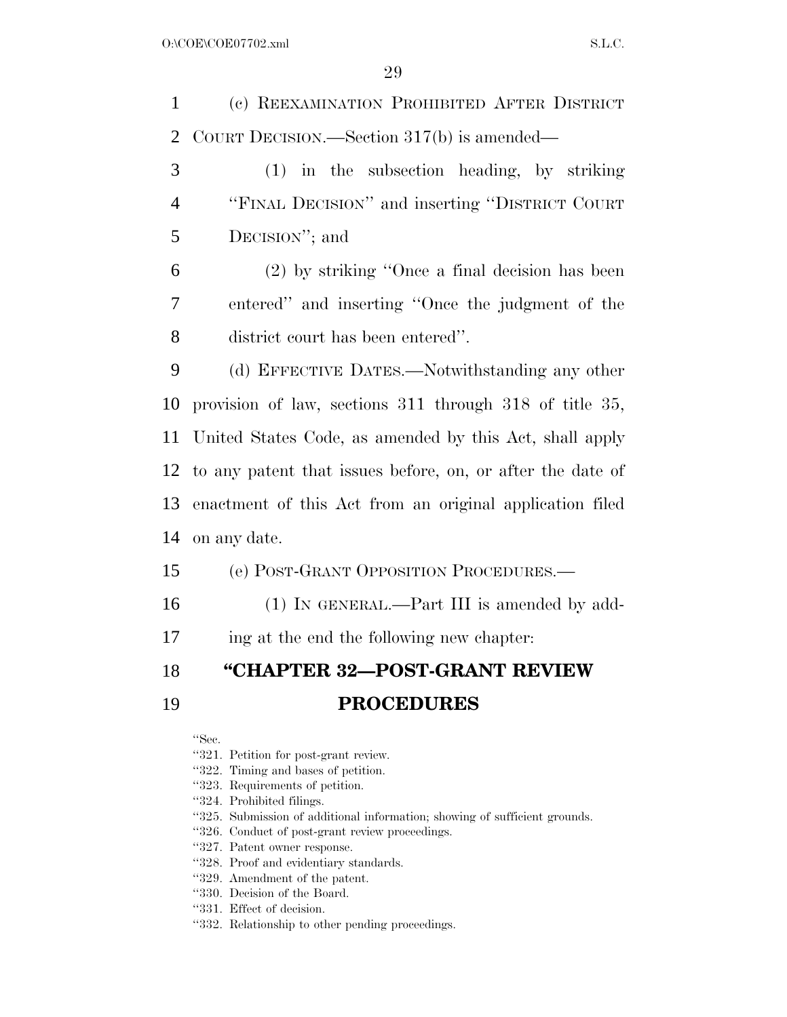(c) REEXAMINATION PROHIBITED AFTER DISTRICT COURT DECISION.—Section 317(b) is amended— (1) in the subsection heading, by striking ''FINAL DECISION'' and inserting ''DISTRICT COURT DECISION''; and (2) by striking ''Once a final decision has been entered'' and inserting ''Once the judgment of the district court has been entered''. (d) EFFECTIVE DATES.—Notwithstanding any other provision of law, sections 311 through 318 of title 35, United States Code, as amended by this Act, shall apply to any patent that issues before, on, or after the date of enactment of this Act from an original application filed on any date. (e) POST-GRANT OPPOSITION PROCEDURES.— 16 (1) IN GENERAL.—Part III is amended by add- ing at the end the following new chapter: **''CHAPTER 32—POST-GRANT REVIEW PROCEDURES**

''Sec.

- ''321. Petition for post-grant review.
- ''322. Timing and bases of petition.
- ''323. Requirements of petition.
- ''324. Prohibited filings.
- ''325. Submission of additional information; showing of sufficient grounds.
- ''326. Conduct of post-grant review proceedings.
- ''327. Patent owner response.
- ''328. Proof and evidentiary standards.
- ''329. Amendment of the patent.
- ''330. Decision of the Board.
- ''331. Effect of decision.
- ''332. Relationship to other pending proceedings.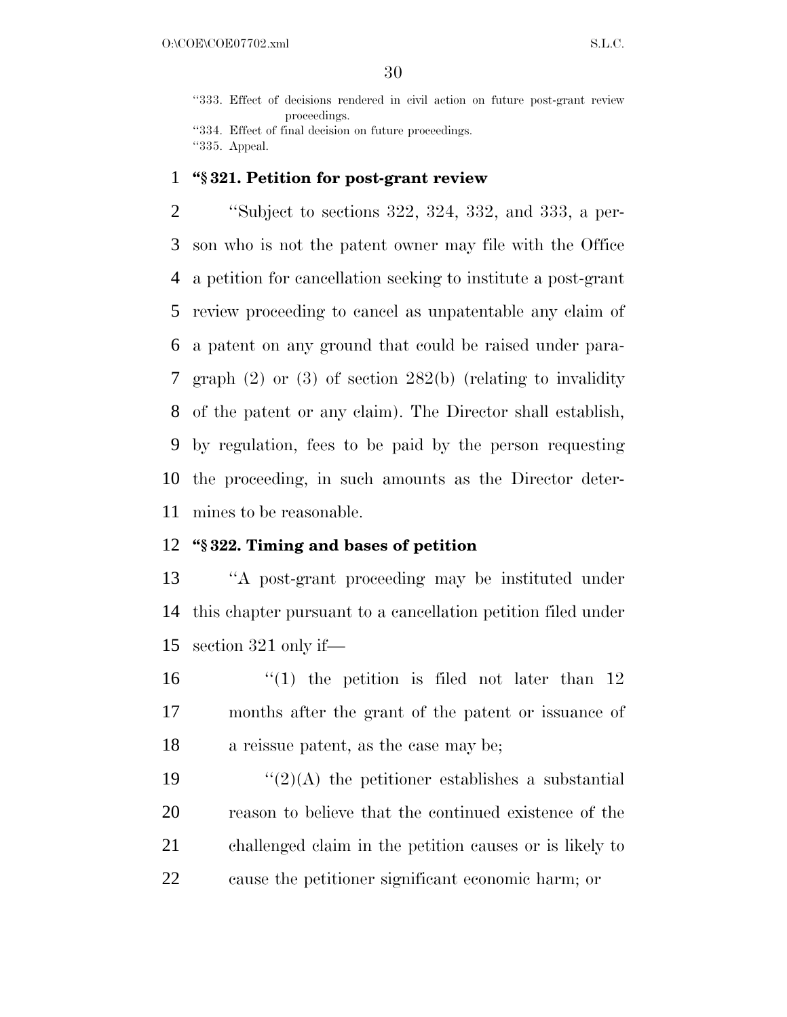''333. Effect of decisions rendered in civil action on future post-grant review proceedings.

''334. Effect of final decision on future proceedings. ''335. Appeal.

#### **''§ 321. Petition for post-grant review**

 ''Subject to sections 322, 324, 332, and 333, a per- son who is not the patent owner may file with the Office a petition for cancellation seeking to institute a post-grant review proceeding to cancel as unpatentable any claim of a patent on any ground that could be raised under para- graph (2) or (3) of section 282(b) (relating to invalidity of the patent or any claim). The Director shall establish, by regulation, fees to be paid by the person requesting the proceeding, in such amounts as the Director deter-mines to be reasonable.

#### **''§ 322. Timing and bases of petition**

 ''A post-grant proceeding may be instituted under this chapter pursuant to a cancellation petition filed under section 321 only if—

16  $\frac{1}{2}$  (1) the petition is filed not later than 12 months after the grant of the patent or issuance of a reissue patent, as the case may be;

 $\frac{1}{2}(2)$  (A) the petitioner establishes a substantial reason to believe that the continued existence of the challenged claim in the petition causes or is likely to cause the petitioner significant economic harm; or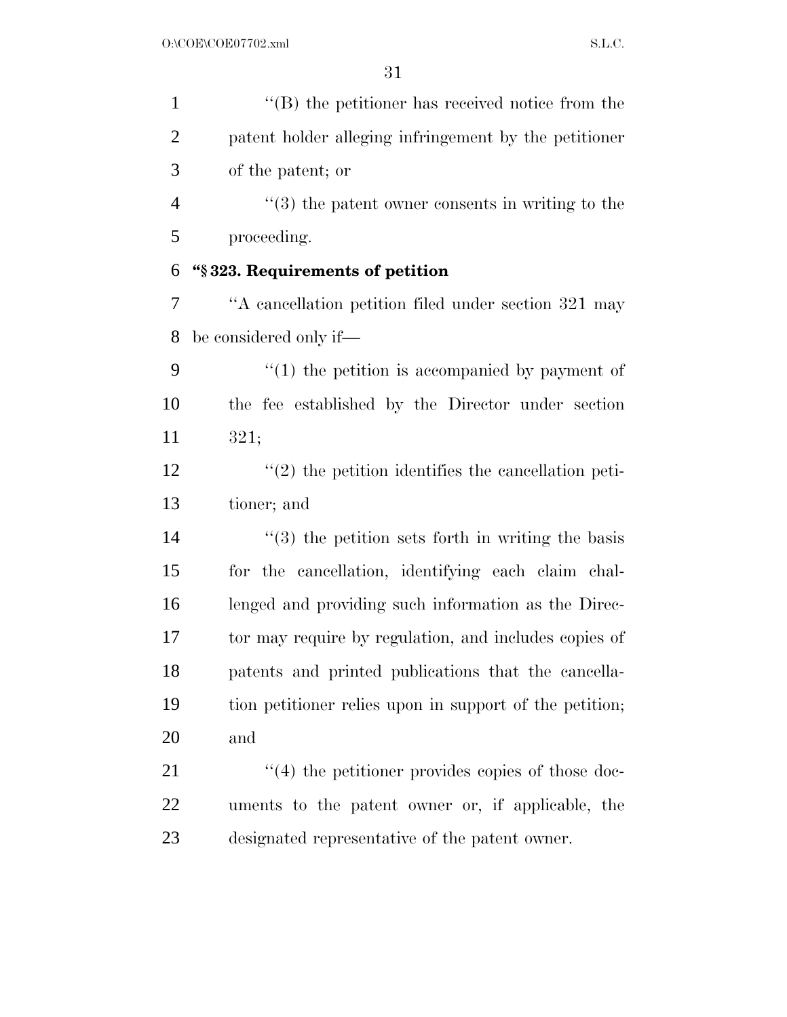| $\mathbf{1}$   | $\lq\lq$ the petitioner has received notice from the             |
|----------------|------------------------------------------------------------------|
| $\overline{2}$ | patent holder alleging infringement by the petitioner            |
| 3              | of the patent; or                                                |
| $\overline{4}$ | $\cdot\cdot\cdot(3)$ the patent owner consents in writing to the |
| 5              | proceeding.                                                      |
| 6              | "§323. Requirements of petition                                  |
| 7              | "A cancellation petition filed under section 321 may             |
| 8              | be considered only if-                                           |
| 9              | $\lq(1)$ the petition is accompanied by payment of               |
| 10             | the fee established by the Director under section                |
| 11             | 321;                                                             |
| 12             | $\lq(2)$ the petition identifies the cancellation peti-          |
| 13             | tioner; and                                                      |
| 14             | $\cdot\cdot$ (3) the petition sets forth in writing the basis    |
| 15             | for the cancellation, identifying each claim chal-               |
| 16             | lenged and providing such information as the Direc-              |
| 17             | tor may require by regulation, and includes copies of            |
| 18             | patents and printed publications that the cancella-              |
| 19             | tion petitioner relies upon in support of the petition;          |
| 20             | and                                                              |
| 21             | $(4)$ the petitioner provides copies of those doc-               |
| 22             | uments to the patent owner or, if applicable, the                |
| 23             | designated representative of the patent owner.                   |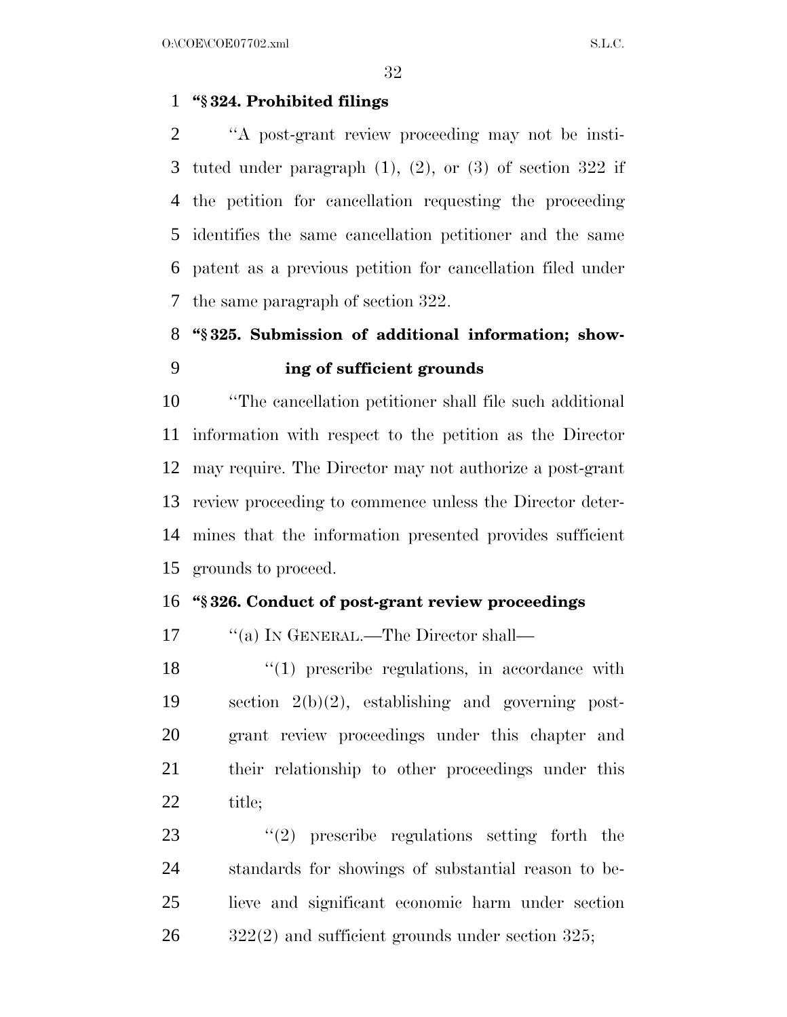#### **''§ 324. Prohibited filings**

 ''A post-grant review proceeding may not be insti- tuted under paragraph (1), (2), or (3) of section 322 if the petition for cancellation requesting the proceeding identifies the same cancellation petitioner and the same patent as a previous petition for cancellation filed under the same paragraph of section 322.

### **''§ 325. Submission of additional information; show-ing of sufficient grounds**

 ''The cancellation petitioner shall file such additional information with respect to the petition as the Director may require. The Director may not authorize a post-grant review proceeding to commence unless the Director deter- mines that the information presented provides sufficient grounds to proceed.

#### **''§ 326. Conduct of post-grant review proceedings**

17 ""(a) IN GENERAL.—The Director shall—

18 ''(1) prescribe regulations, in accordance with section 2(b)(2), establishing and governing post- grant review proceedings under this chapter and their relationship to other proceedings under this 22 title;

23 "(2) prescribe regulations setting forth the standards for showings of substantial reason to be- lieve and significant economic harm under section  $26 \qquad \qquad$  322(2) and sufficient grounds under section 325;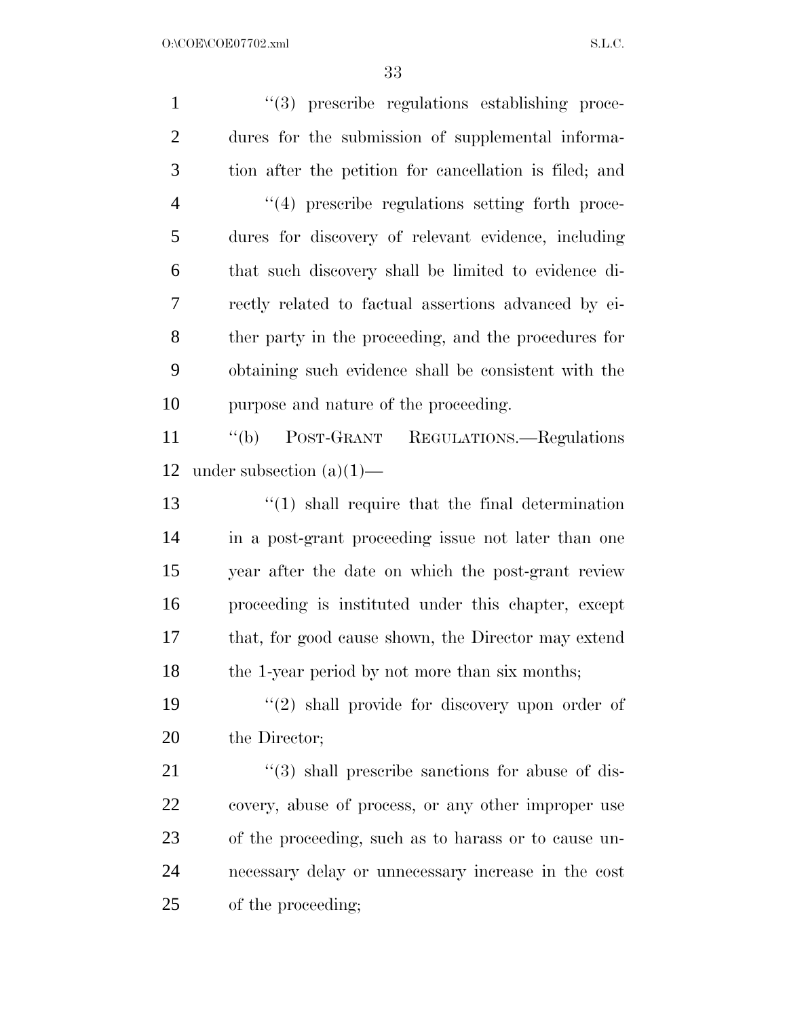| $\mathbf{1}$   | "(3) prescribe regulations establishing proce-         |
|----------------|--------------------------------------------------------|
| $\overline{2}$ | dures for the submission of supplemental informa-      |
| 3              | tion after the petition for cancellation is filed; and |
| $\overline{4}$ | $\lq(4)$ prescribe regulations setting forth proce-    |
| 5              | dures for discovery of relevant evidence, including    |
| 6              | that such discovery shall be limited to evidence di-   |
| 7              | rectly related to factual assertions advanced by ei-   |
| 8              | ther party in the proceeding, and the procedures for   |
| 9              | obtaining such evidence shall be consistent with the   |
| 10             | purpose and nature of the proceeding.                  |
| 11             | POST-GRANT REGULATIONS.—Regulations<br>$\lq\lq(b)$     |
| 12             | under subsection $(a)(1)$ —                            |
| 13             | $\lq(1)$ shall require that the final determination    |
| 14             | in a post-grant proceeding issue not later than one    |
| 15             | year after the date on which the post-grant review     |
| 16             | proceeding is instituted under this chapter, except    |
| 17             | that, for good cause shown, the Director may extend    |
| 18             | the 1-year period by not more than six months;         |
| 19             | $(2)$ shall provide for discovery upon order of        |
| 20             | the Director;                                          |
| 21             | $\lq(3)$ shall prescribe sanctions for abuse of dis-   |
| 22             | covery, abuse of process, or any other improper use    |
| 23             | of the proceeding, such as to harass or to cause un-   |
| 24             | necessary delay or unnecessary increase in the cost    |
| 25             | of the proceeding;                                     |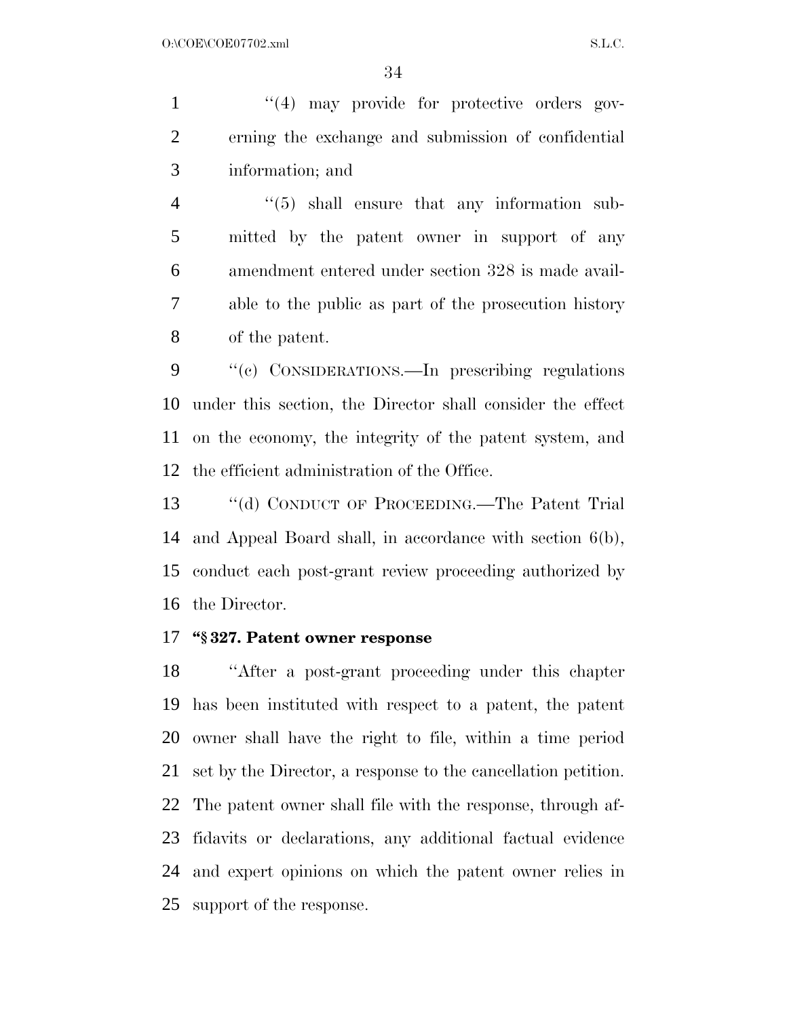1 ''(4) may provide for protective orders gov- erning the exchange and submission of confidential information; and

4 ''(5) shall ensure that any information sub- mitted by the patent owner in support of any amendment entered under section 328 is made avail- able to the public as part of the prosecution history of the patent.

 ''(c) CONSIDERATIONS.—In prescribing regulations under this section, the Director shall consider the effect on the economy, the integrity of the patent system, and the efficient administration of the Office.

 ''(d) CONDUCT OF PROCEEDING.—The Patent Trial and Appeal Board shall, in accordance with section 6(b), conduct each post-grant review proceeding authorized by the Director.

#### **''§ 327. Patent owner response**

 ''After a post-grant proceeding under this chapter has been instituted with respect to a patent, the patent owner shall have the right to file, within a time period set by the Director, a response to the cancellation petition. The patent owner shall file with the response, through af- fidavits or declarations, any additional factual evidence and expert opinions on which the patent owner relies in support of the response.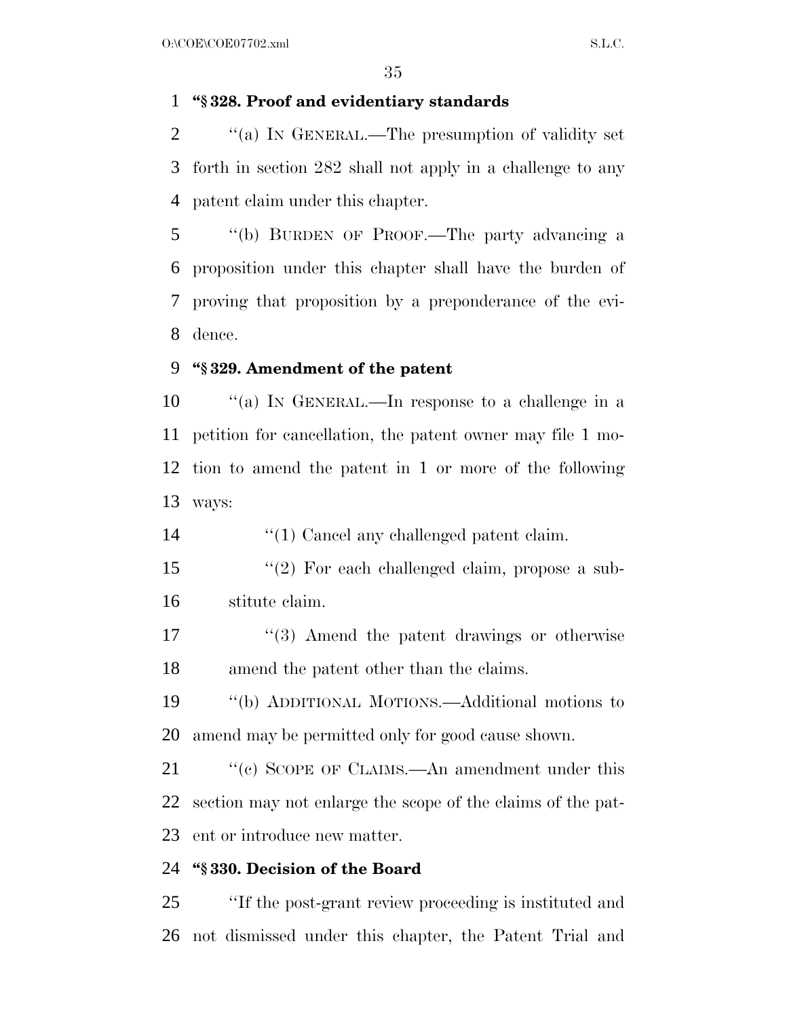#### **''§ 328. Proof and evidentiary standards**

2  $\gamma$  (a) In GENERAL.—The presumption of validity set forth in section 282 shall not apply in a challenge to any patent claim under this chapter.

 ''(b) BURDEN OF PROOF.—The party advancing a proposition under this chapter shall have the burden of proving that proposition by a preponderance of the evi-dence.

#### **''§ 329. Amendment of the patent**

 ''(a) IN GENERAL.—In response to a challenge in a petition for cancellation, the patent owner may file 1 mo- tion to amend the patent in 1 or more of the following ways:

14  $\frac{1}{2}$  (1) Cancel any challenged patent claim.

- ''(2) For each challenged claim, propose a sub-stitute claim.
- 17 ''(3) Amend the patent drawings or otherwise amend the patent other than the claims.
- ''(b) ADDITIONAL MOTIONS.—Additional motions to amend may be permitted only for good cause shown.
- 21 ''(c) SCOPE OF CLAIMS.—An amendment under this section may not enlarge the scope of the claims of the pat-ent or introduce new matter.

#### **''§ 330. Decision of the Board**

 ''If the post-grant review proceeding is instituted and not dismissed under this chapter, the Patent Trial and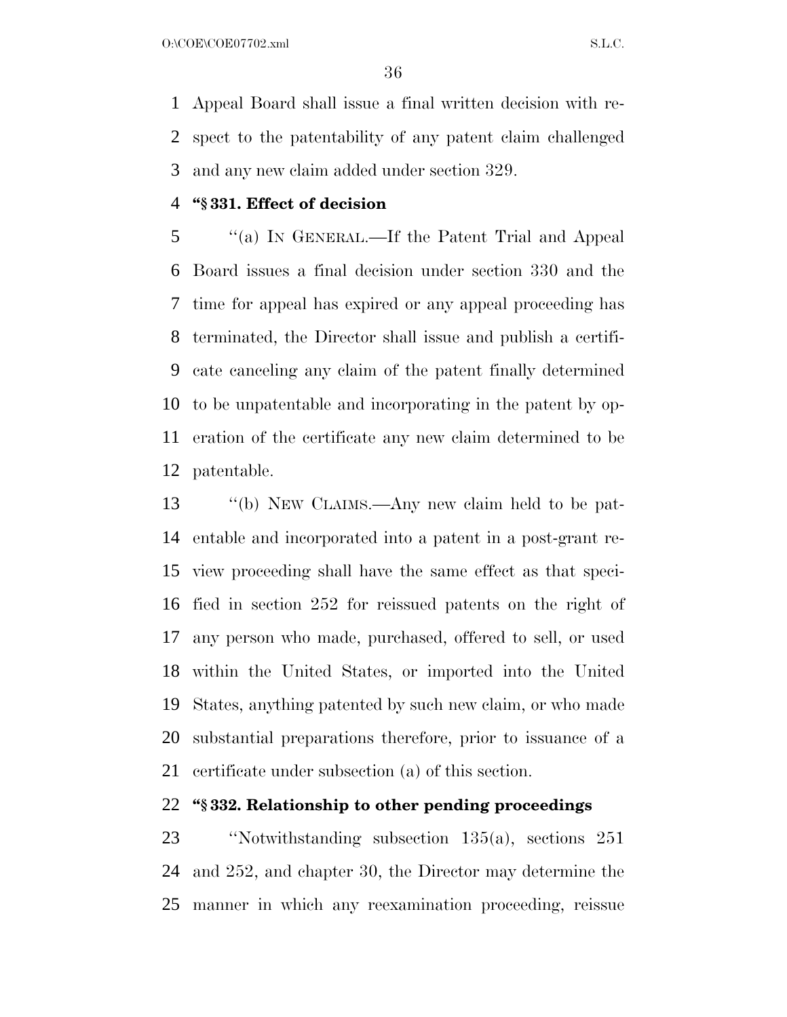$O:\text{COE} \setminus \text{COE}$  and  $\text{S.L.C.}$ 

 Appeal Board shall issue a final written decision with re- spect to the patentability of any patent claim challenged and any new claim added under section 329.

#### **''§ 331. Effect of decision**

 ''(a) IN GENERAL.—If the Patent Trial and Appeal Board issues a final decision under section 330 and the time for appeal has expired or any appeal proceeding has terminated, the Director shall issue and publish a certifi- cate canceling any claim of the patent finally determined to be unpatentable and incorporating in the patent by op- eration of the certificate any new claim determined to be patentable.

 ''(b) NEW CLAIMS.—Any new claim held to be pat- entable and incorporated into a patent in a post-grant re- view proceeding shall have the same effect as that speci- fied in section 252 for reissued patents on the right of any person who made, purchased, offered to sell, or used within the United States, or imported into the United States, anything patented by such new claim, or who made substantial preparations therefore, prior to issuance of a certificate under subsection (a) of this section.

#### **''§ 332. Relationship to other pending proceedings**

 ''Notwithstanding subsection 135(a), sections 251 and 252, and chapter 30, the Director may determine the manner in which any reexamination proceeding, reissue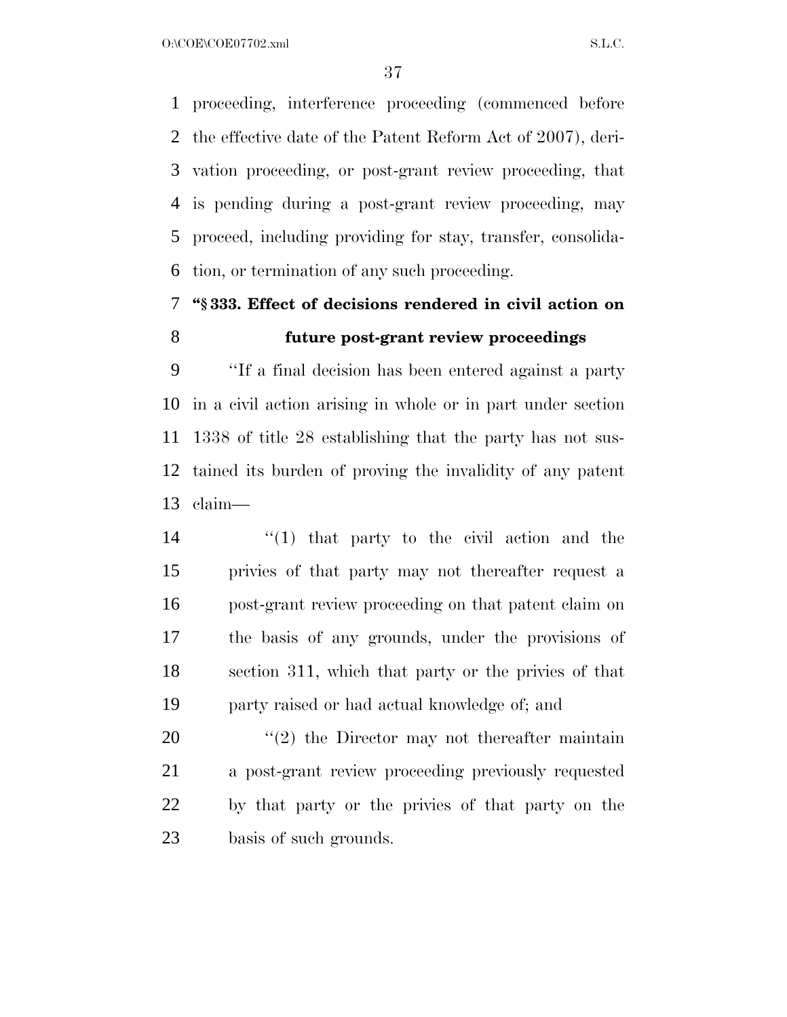O:\COE\COE07702.xml S.L.C.

 proceeding, interference proceeding (commenced before the effective date of the Patent Reform Act of 2007), deri- vation proceeding, or post-grant review proceeding, that is pending during a post-grant review proceeding, may proceed, including providing for stay, transfer, consolida-tion, or termination of any such proceeding.

## **''§ 333. Effect of decisions rendered in civil action on**

#### **future post-grant review proceedings**

 ''If a final decision has been entered against a party in a civil action arising in whole or in part under section 1338 of title 28 establishing that the party has not sus- tained its burden of proving the invalidity of any patent claim—

 ''(1) that party to the civil action and the privies of that party may not thereafter request a post-grant review proceeding on that patent claim on the basis of any grounds, under the provisions of section 311, which that party or the privies of that party raised or had actual knowledge of; and

 ''(2) the Director may not thereafter maintain a post-grant review proceeding previously requested by that party or the privies of that party on the basis of such grounds.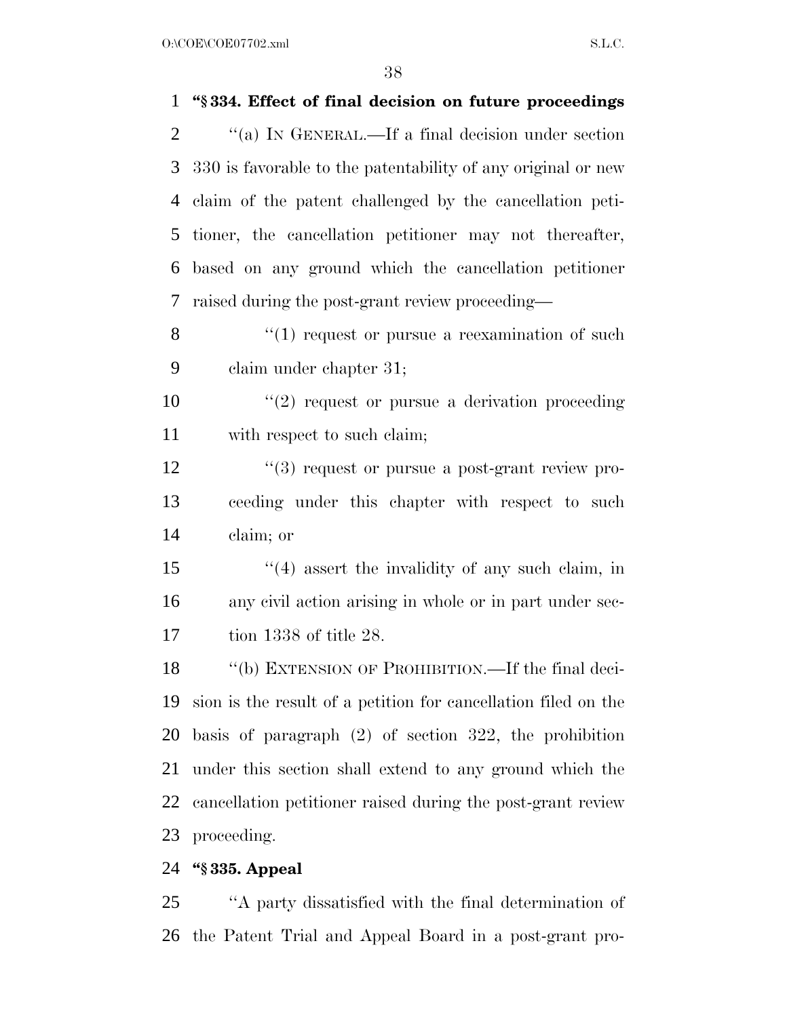$O:\text{COE}(\text{COE07702}.\text{xml}$  S.L.C.

| 1              | "§334. Effect of final decision on future proceedings          |
|----------------|----------------------------------------------------------------|
| $\overline{2}$ | "(a) IN GENERAL.—If a final decision under section             |
| 3              | 330 is favorable to the patentability of any original or new   |
| 4              | claim of the patent challenged by the cancellation peti-       |
| 5              | tioner, the cancellation petitioner may not thereafter,        |
| 6              | based on any ground which the cancellation petitioner          |
| 7              | raised during the post-grant review proceeding—                |
| 8              | $``(1)$ request or pursue a reexamination of such              |
| 9              | claim under chapter 31;                                        |
| 10             | $"(2)$ request or pursue a derivation proceeding               |
| 11             | with respect to such claim;                                    |
| 12             | $(3)$ request or pursue a post-grant review pro-               |
| 13             | ceeding under this chapter with respect to such                |
| 14             | claim; or                                                      |
| 15             | $(4)$ assert the invalidity of any such claim, in              |
| 16             | any civil action arising in whole or in part under sec-        |
| 17             | tion $1338$ of title 28.                                       |
| 18             | "(b) EXTENSION OF PROHIBITION.—If the final deci-              |
| 19             | sion is the result of a petition for cancellation filed on the |
| 20             | basis of paragraph $(2)$ of section 322, the prohibition       |
| 21             | under this section shall extend to any ground which the        |
| 22             | cancellation petitioner raised during the post-grant review    |
| 23             | proceeding.                                                    |
| 24             | "§ 335. Appeal                                                 |
| 25             | "A party dissatisfied with the final determination of          |

the Patent Trial and Appeal Board in a post-grant pro-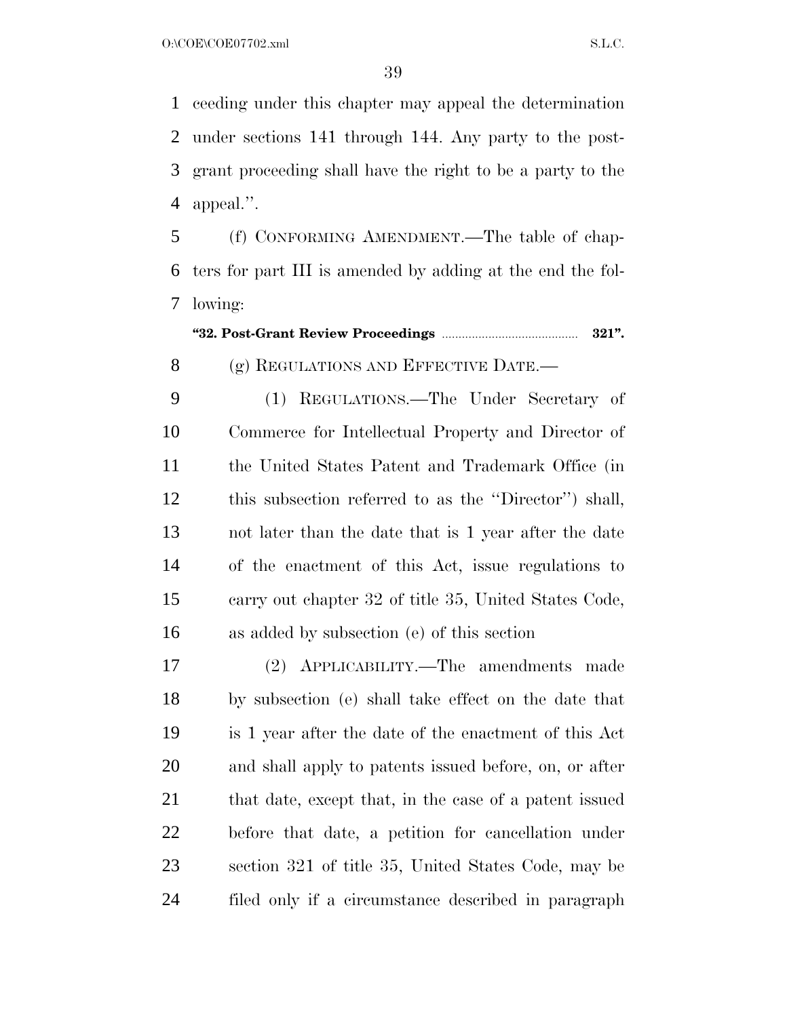ceeding under this chapter may appeal the determination under sections 141 through 144. Any party to the post- grant proceeding shall have the right to be a party to the appeal.''.

 (f) CONFORMING AMENDMENT.—The table of chap- ters for part III is amended by adding at the end the fol-lowing:

**''32. Post-Grant Review Proceedings** ......................................... **321''.**

8 (g) REGULATIONS AND EFFECTIVE DATE.

 (1) REGULATIONS.—The Under Secretary of Commerce for Intellectual Property and Director of the United States Patent and Trademark Office (in this subsection referred to as the ''Director'') shall, not later than the date that is 1 year after the date of the enactment of this Act, issue regulations to carry out chapter 32 of title 35, United States Code, as added by subsection (e) of this section

 (2) APPLICABILITY.—The amendments made by subsection (e) shall take effect on the date that is 1 year after the date of the enactment of this Act and shall apply to patents issued before, on, or after 21 that date, except that, in the case of a patent issued before that date, a petition for cancellation under section 321 of title 35, United States Code, may be filed only if a circumstance described in paragraph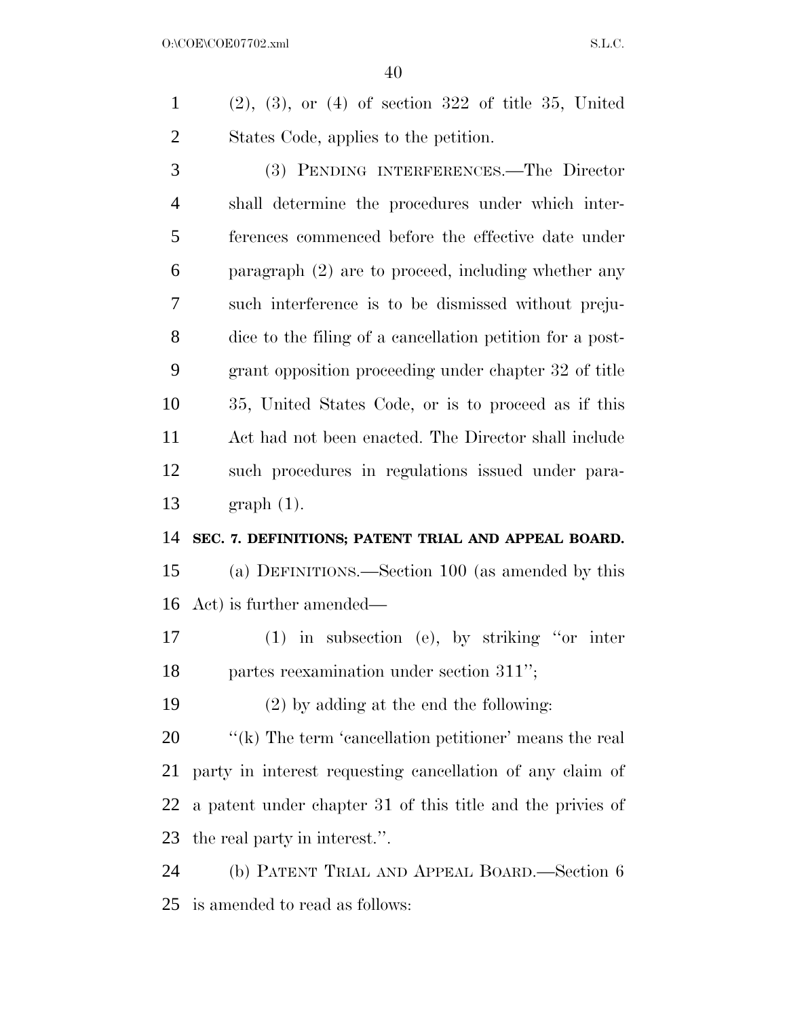(2), (3), or (4) of section 322 of title 35, United States Code, applies to the petition.

 (3) PENDING INTERFERENCES.—The Director shall determine the procedures under which inter- ferences commenced before the effective date under paragraph (2) are to proceed, including whether any such interference is to be dismissed without preju- dice to the filing of a cancellation petition for a post- grant opposition proceeding under chapter 32 of title 35, United States Code, or is to proceed as if this Act had not been enacted. The Director shall include such procedures in regulations issued under para-graph (1).

#### **SEC. 7. DEFINITIONS; PATENT TRIAL AND APPEAL BOARD.**

 (a) DEFINITIONS.—Section 100 (as amended by this Act) is further amended—

 (1) in subsection (e), by striking ''or inter partes reexamination under section 311'';

(2) by adding at the end the following:

 $\frac{1}{k}$  The term 'cancellation petitioner' means the real party in interest requesting cancellation of any claim of a patent under chapter 31 of this title and the privies of the real party in interest.''.

 (b) PATENT TRIAL AND APPEAL BOARD.—Section 6 is amended to read as follows: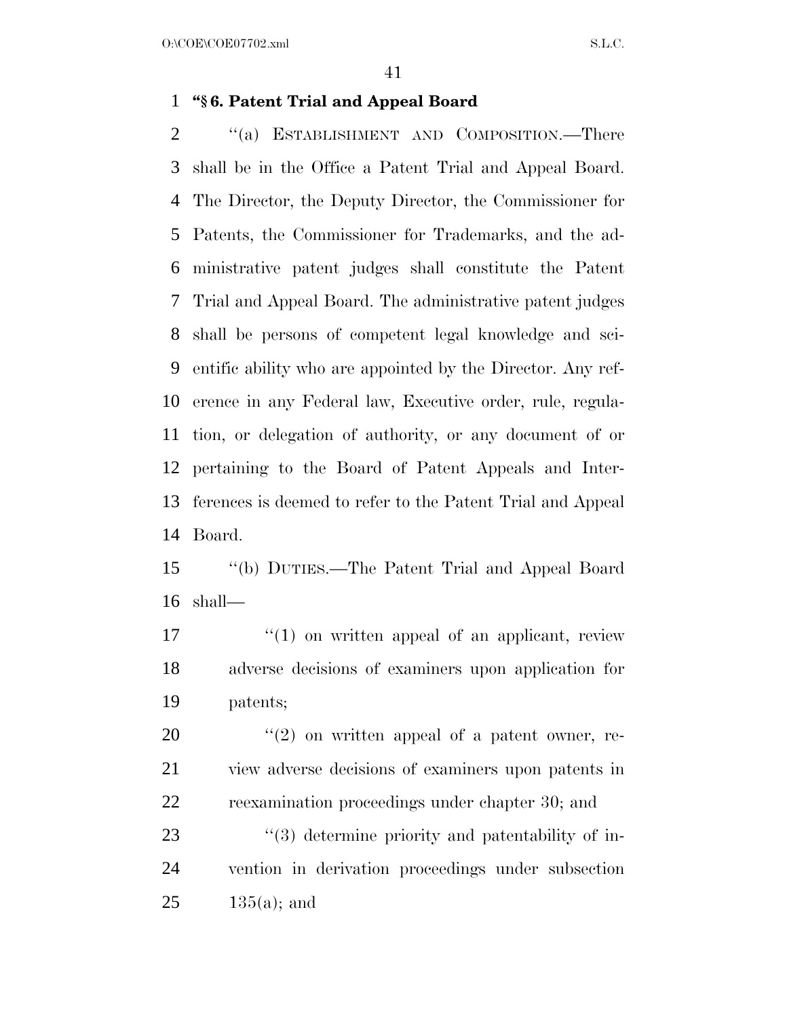#### **''§ 6. Patent Trial and Appeal Board**

2 "(a) ESTABLISHMENT AND COMPOSITION.—There shall be in the Office a Patent Trial and Appeal Board. The Director, the Deputy Director, the Commissioner for Patents, the Commissioner for Trademarks, and the ad- ministrative patent judges shall constitute the Patent Trial and Appeal Board. The administrative patent judges shall be persons of competent legal knowledge and sci- entific ability who are appointed by the Director. Any ref- erence in any Federal law, Executive order, rule, regula- tion, or delegation of authority, or any document of or pertaining to the Board of Patent Appeals and Inter- ferences is deemed to refer to the Patent Trial and Appeal Board.

 ''(b) DUTIES.—The Patent Trial and Appeal Board shall—

 ''(1) on written appeal of an applicant, review adverse decisions of examiners upon application for patents;

 ''(2) on written appeal of a patent owner, re- view adverse decisions of examiners upon patents in reexamination proceedings under chapter 30; and

23 ''(3) determine priority and patentability of in- vention in derivation proceedings under subsection  $25 \t 135(a);$  and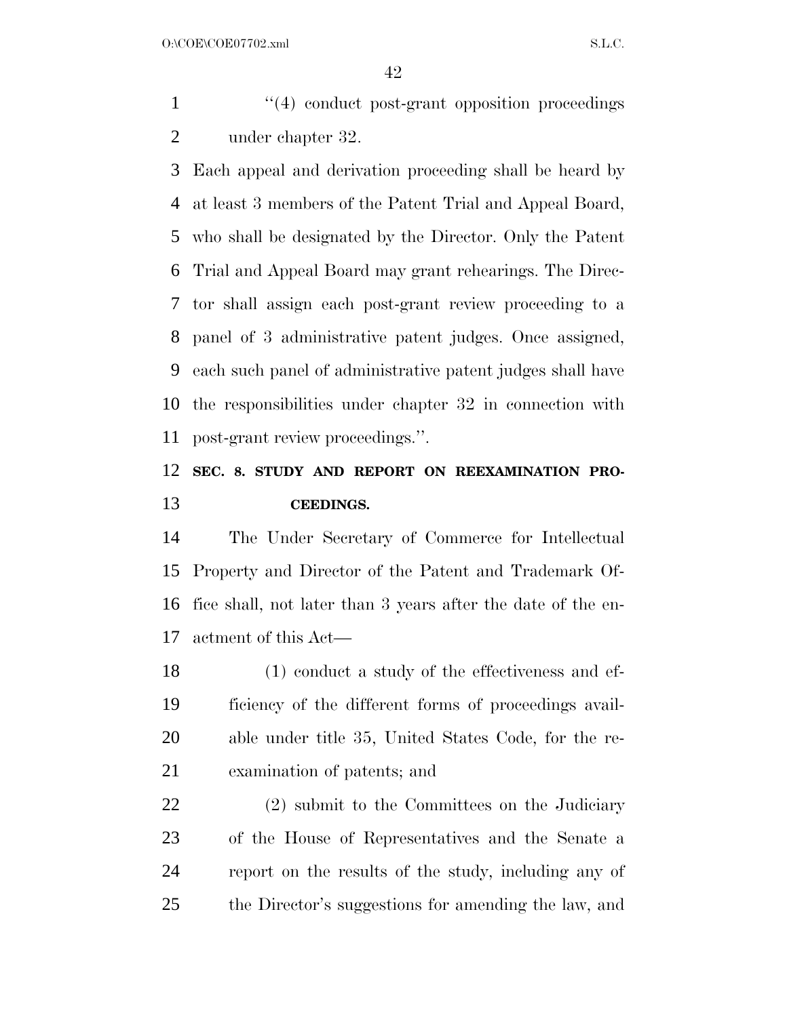$O:\text{COE} \setminus \text{COE}$  and  $\text{S.L.C.}$ 

1 ''(4) conduct post-grant opposition proceedings under chapter 32.

 Each appeal and derivation proceeding shall be heard by at least 3 members of the Patent Trial and Appeal Board, who shall be designated by the Director. Only the Patent Trial and Appeal Board may grant rehearings. The Direc- tor shall assign each post-grant review proceeding to a panel of 3 administrative patent judges. Once assigned, each such panel of administrative patent judges shall have the responsibilities under chapter 32 in connection with post-grant review proceedings.''.

### **SEC. 8. STUDY AND REPORT ON REEXAMINATION PRO-CEEDINGS.**

 The Under Secretary of Commerce for Intellectual Property and Director of the Patent and Trademark Of- fice shall, not later than 3 years after the date of the en-actment of this Act—

 (1) conduct a study of the effectiveness and ef- ficiency of the different forms of proceedings avail- able under title 35, United States Code, for the re-examination of patents; and

 (2) submit to the Committees on the Judiciary of the House of Representatives and the Senate a report on the results of the study, including any of the Director's suggestions for amending the law, and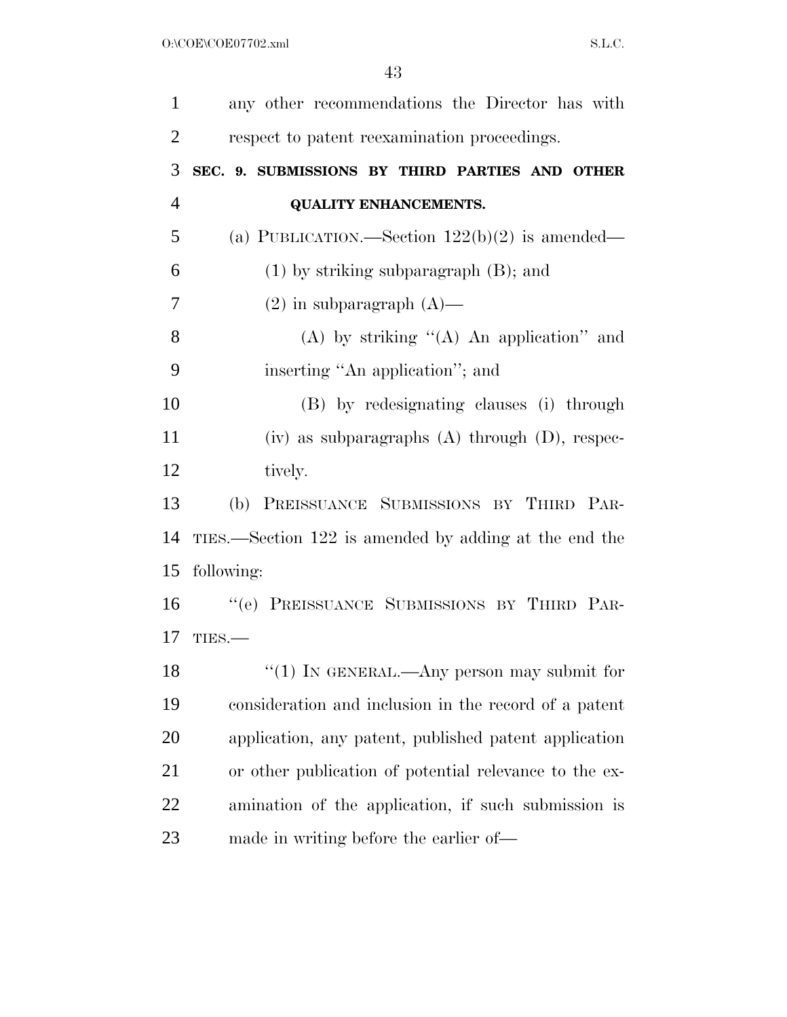| $\mathbf{1}$   | any other recommendations the Director has with        |
|----------------|--------------------------------------------------------|
| $\overline{2}$ |                                                        |
|                | respect to patent reexamination proceedings.           |
| 3              | SEC. 9. SUBMISSIONS BY THIRD PARTIES AND OTHER         |
| $\overline{4}$ | <b>QUALITY ENHANCEMENTS.</b>                           |
| 5              | (a) PUBLICATION.—Section $122(b)(2)$ is amended—       |
| 6              | $(1)$ by striking subparagraph $(B)$ ; and             |
| 7              | $(2)$ in subparagraph $(A)$ —                          |
| 8              | (A) by striking " $(A)$ An application" and            |
| 9              | inserting "An application"; and                        |
| 10             | (B) by redesignating clauses (i) through               |
| 11             | $(iv)$ as subparagraphs $(A)$ through $(D)$ , respec-  |
| 12             | tively.                                                |
| 13             | PREISSUANCE SUBMISSIONS BY THIRD PAR-<br>(b)           |
| 14             | TIES.—Section 122 is amended by adding at the end the  |
| 15             | following:                                             |
| 16             | "(e) PREISSUANCE SUBMISSIONS BY THIRD PAR-             |
| 17             | TIES.                                                  |
| 18             | $``(1)$ IN GENERAL.—Any person may submit for          |
| 19             | consideration and inclusion in the record of a patent  |
| 20             | application, any patent, published patent application  |
| 21             | or other publication of potential relevance to the ex- |
| 22             | amination of the application, if such submission is    |
| 23             | made in writing before the earlier of—                 |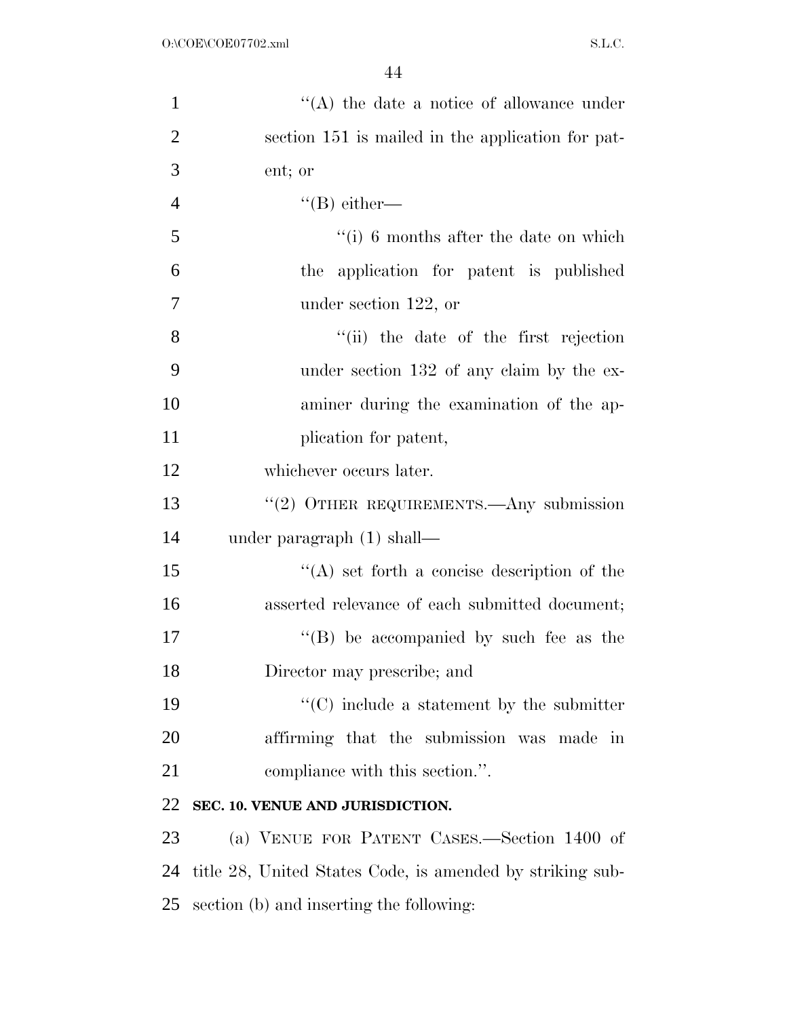| $\mathbf{1}$   | $\lq\lq$ the date a notice of allowance under             |
|----------------|-----------------------------------------------------------|
| $\overline{2}$ | section 151 is mailed in the application for pat-         |
| 3              | ent; or                                                   |
| $\overline{4}$ | $\lq\lq (B)$ either—                                      |
| 5              | $f(i)$ 6 months after the date on which                   |
| 6              | the application for patent is published                   |
| $\tau$         | under section $122$ , or                                  |
| 8              | "(ii) the date of the first rejection                     |
| 9              | under section 132 of any claim by the ex-                 |
| 10             | aminer during the examination of the ap-                  |
| 11             | plication for patent,                                     |
| 12             | whichever occurs later.                                   |
| 13             | $``(2)$ OTHER REQUIREMENTS.—Any submission                |
| 14             | under paragraph $(1)$ shall—                              |
| 15             | $\lq\lq$ set forth a concise description of the           |
| 16             | asserted relevance of each submitted document;            |
| 17             | $\lq\lq$ (B) be accompanied by such fee as the            |
| 18             | Director may prescribe; and                               |
| 19             | $\cdot$ (C) include a statement by the submitter          |
| 20             | affirming that the submission was made in                 |
| 21             | compliance with this section.".                           |
| 22             | SEC. 10. VENUE AND JURISDICTION.                          |
| 23             | (a) VENUE FOR PATENT CASES.—Section 1400 of               |
| 24             | title 28, United States Code, is amended by striking sub- |
| 25             | section (b) and inserting the following:                  |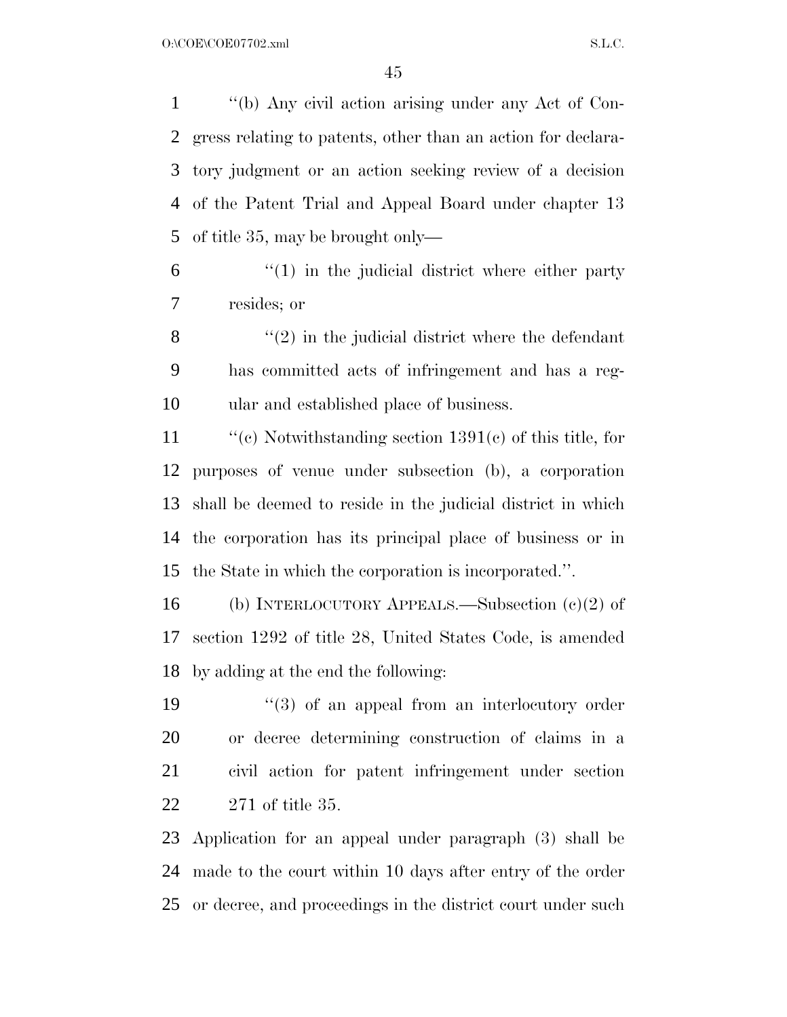''(b) Any civil action arising under any Act of Con- gress relating to patents, other than an action for declara- tory judgment or an action seeking review of a decision of the Patent Trial and Appeal Board under chapter 13 of title 35, may be brought only—

 ''(1) in the judicial district where either party resides; or

 $\mathbf{8}$  (2) in the judicial district where the defendant has committed acts of infringement and has a reg-ular and established place of business.

 ''(c) Notwithstanding section 1391(c) of this title, for purposes of venue under subsection (b), a corporation shall be deemed to reside in the judicial district in which the corporation has its principal place of business or in the State in which the corporation is incorporated.''.

 (b) INTERLOCUTORY APPEALS.—Subsection (c)(2) of section 1292 of title 28, United States Code, is amended by adding at the end the following:

19 ''(3) of an appeal from an interlocutory order or decree determining construction of claims in a civil action for patent infringement under section 271 of title 35.

 Application for an appeal under paragraph (3) shall be made to the court within 10 days after entry of the order or decree, and proceedings in the district court under such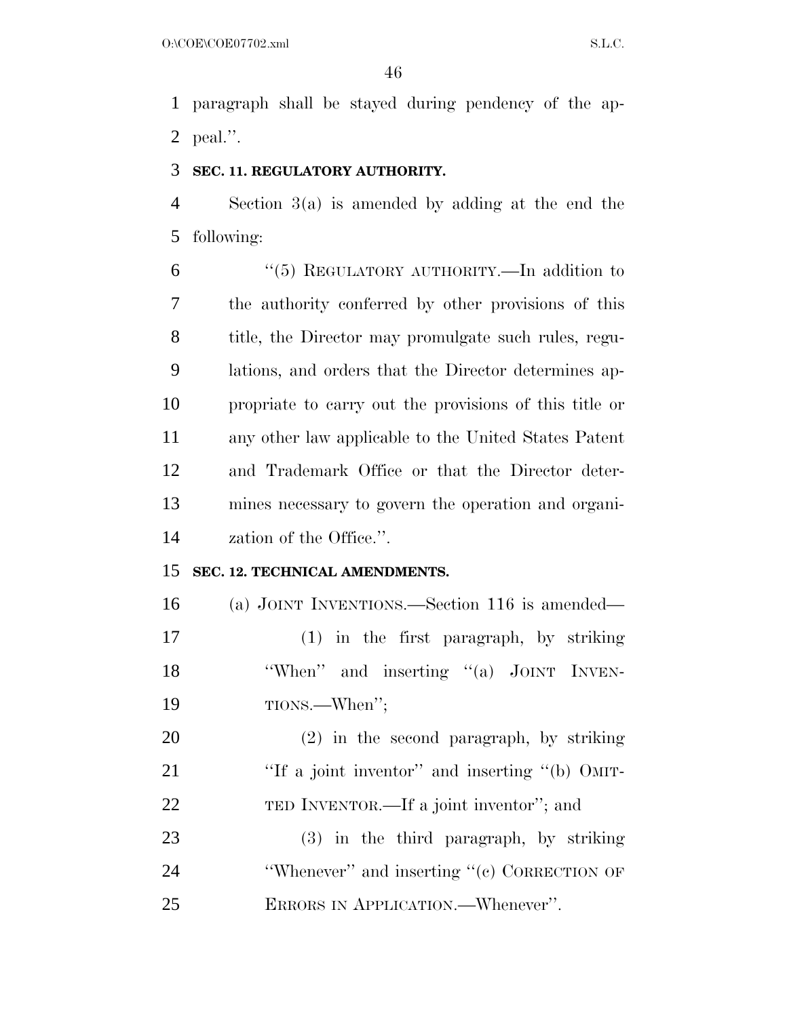paragraph shall be stayed during pendency of the ap-peal.''.

#### **SEC. 11. REGULATORY AUTHORITY.**

 Section 3(a) is amended by adding at the end the following:

 ''(5) REGULATORY AUTHORITY.—In addition to the authority conferred by other provisions of this title, the Director may promulgate such rules, regu- lations, and orders that the Director determines ap- propriate to carry out the provisions of this title or any other law applicable to the United States Patent and Trademark Office or that the Director deter- mines necessary to govern the operation and organi-zation of the Office.''.

#### **SEC. 12. TECHNICAL AMENDMENTS.**

 (a) JOINT INVENTIONS.—Section 116 is amended— (1) in the first paragraph, by striking 18 'When'' and inserting "(a) JOINT INVEN-TIONS.—When'';

 (2) in the second paragraph, by striking 21 "If a joint inventor" and inserting "(b) OMIT-TED INVENTOR.—If a joint inventor''; and

 (3) in the third paragraph, by striking 24 'Whenever'' and inserting "(c) CORRECTION OF ERRORS IN APPLICATION.—Whenever''.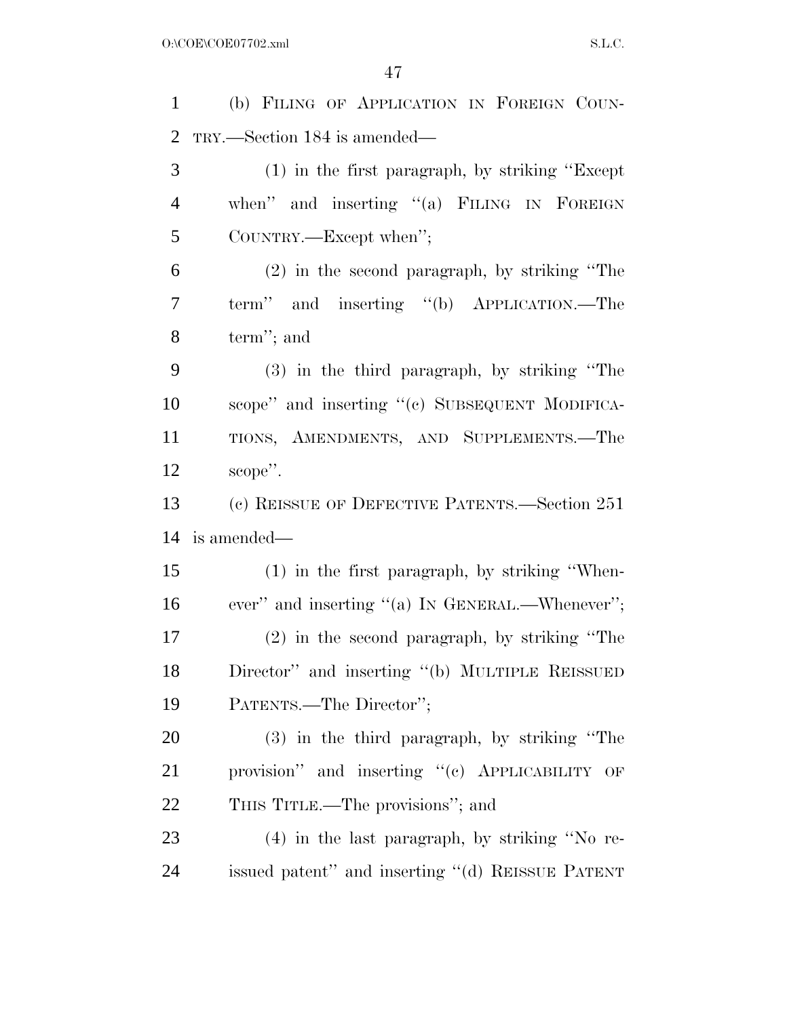(b) FILING OF APPLICATION IN FOREIGN COUN- TRY.—Section 184 is amended— (1) in the first paragraph, by striking ''Except 4 when" and inserting "(a) FILING IN FOREIGN COUNTRY.—Except when''; (2) in the second paragraph, by striking ''The term'' and inserting ''(b) APPLICATION.—The term''; and (3) in the third paragraph, by striking ''The scope'' and inserting ''(c) SUBSEQUENT MODIFICA- TIONS, AMENDMENTS, AND SUPPLEMENTS.—The scope''. (c) REISSUE OF DEFECTIVE PATENTS.—Section 251 is amended— (1) in the first paragraph, by striking ''When-16 ever" and inserting "(a) In GENERAL.—Whenever"; (2) in the second paragraph, by striking ''The Director'' and inserting ''(b) MULTIPLE REISSUED PATENTS.—The Director''; (3) in the third paragraph, by striking ''The 21 provision" and inserting "(c) APPLICABILITY OF THIS TITLE.—The provisions''; and (4) in the last paragraph, by striking ''No re-issued patent'' and inserting ''(d) REISSUE PATENT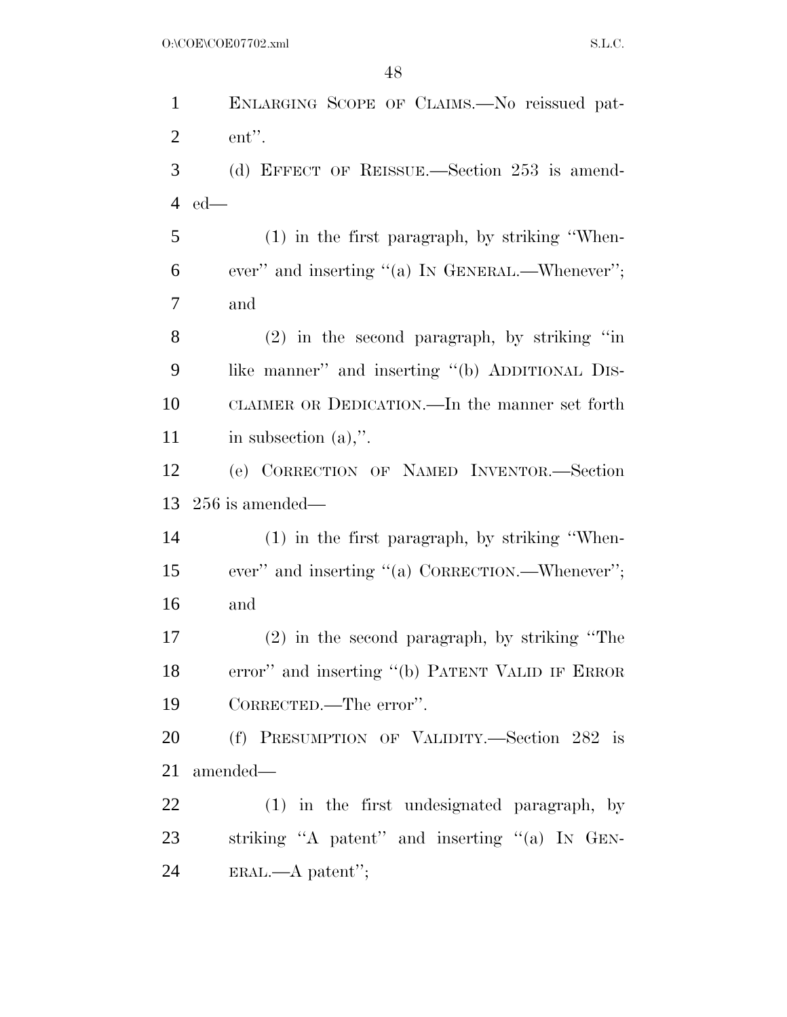ENLARGING SCOPE OF CLAIMS.—No reissued pat- ent''. (d) EFFECT OF REISSUE.—Section 253 is amend- ed— (1) in the first paragraph, by striking ''When- ever'' and inserting ''(a) IN GENERAL.—Whenever''; and (2) in the second paragraph, by striking ''in like manner'' and inserting ''(b) ADDITIONAL DIS- CLAIMER OR DEDICATION.—In the manner set forth 11 in subsection (a),". (e) CORRECTION OF NAMED INVENTOR.—Section 256 is amended— (1) in the first paragraph, by striking ''When- ever'' and inserting ''(a) CORRECTION.—Whenever''; and (2) in the second paragraph, by striking ''The error'' and inserting ''(b) PATENT VALID IF ERROR CORRECTED.—The error''. (f) PRESUMPTION OF VALIDITY.—Section 282 is amended— (1) in the first undesignated paragraph, by striking ''A patent'' and inserting ''(a) IN GEN-ERAL.—A patent'';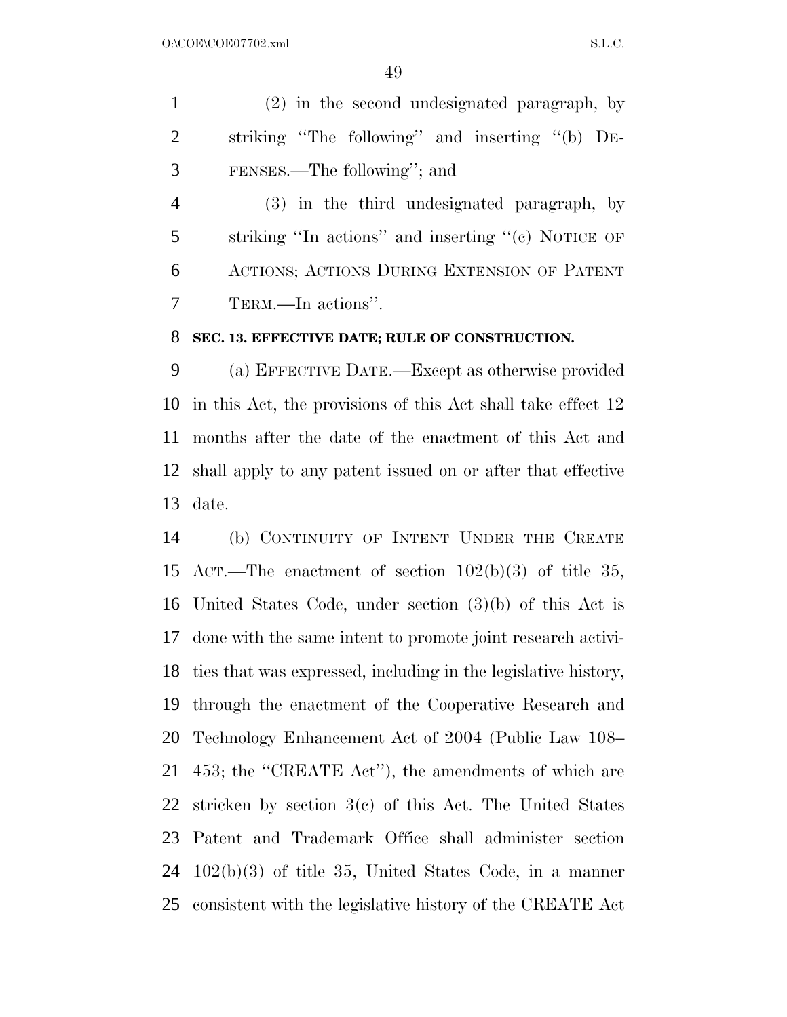(2) in the second undesignated paragraph, by striking ''The following'' and inserting ''(b) DE-FENSES.—The following''; and

 (3) in the third undesignated paragraph, by striking ''In actions'' and inserting ''(c) NOTICE OF ACTIONS; ACTIONS DURING EXTENSION OF PATENT TERM.—In actions''.

#### **SEC. 13. EFFECTIVE DATE; RULE OF CONSTRUCTION.**

 (a) EFFECTIVE DATE.—Except as otherwise provided in this Act, the provisions of this Act shall take effect 12 months after the date of the enactment of this Act and shall apply to any patent issued on or after that effective date.

 (b) CONTINUITY OF INTENT UNDER THE CREATE ACT.—The enactment of section 102(b)(3) of title 35, United States Code, under section (3)(b) of this Act is done with the same intent to promote joint research activi- ties that was expressed, including in the legislative history, through the enactment of the Cooperative Research and Technology Enhancement Act of 2004 (Public Law 108– 453; the ''CREATE Act''), the amendments of which are stricken by section 3(c) of this Act. The United States Patent and Trademark Office shall administer section 102(b)(3) of title 35, United States Code, in a manner consistent with the legislative history of the CREATE Act